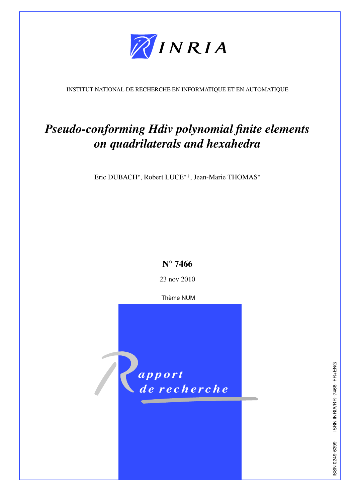

<span id="page-0-0"></span>INSTITUT NATIONAL DE RECHERCHE EN INFORMATIQUE ET EN AUTOMATIQUE

# *Pseudo-conforming Hdiv polynomial finite elements on quadrilaterals and hexahedra*

Eric DUBACH<sup>∗</sup> , Robert LUCE<sup>∗</sup>,† , Jean-Marie THOMAS<sup>∗</sup>



23 nov 2010

Thème NUM



ISRN INRIA/RR--7466--FR+ENG ISSN 0249-6399 ISRN INRIA/RR--7466--FR+ENG SSN 0249-6399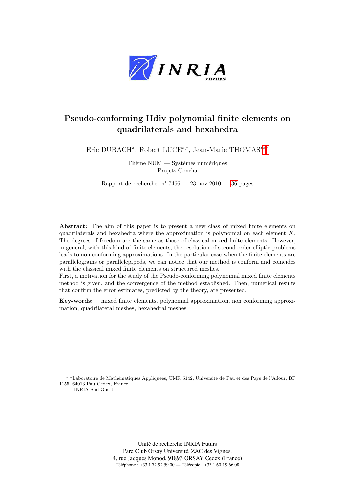

# Pseudo-conforming Hdiv polynomial finite elements on quadrilaterals and hexahedra

Eric DUBACH<sup>∗</sup> , Robert LUCE<sup>∗</sup>,† , Jean-Marie THOMAS[∗∗†](#page-0-0)

Thème NUM — Systèmes numériques Projets Concha

Rapport de recherche n° 7466 — 23 nov 2010 — [36](#page-32-0) pages

Abstract: The aim of this paper is to present a new class of mixed finite elements on quadrilaterals and hexahedra where the approximation is polynomial on each element  $K$ . The degrees of freedom are the same as those of classical mixed finite elements. However, in general, with this kind of finite elements, the resolution of second order elliptic problems leads to non conforming approximations. In the particular case when the finite elements are parallelograms or parallelepipeds, we can notice that our method is conform and coincides with the classical mixed finite elements on structured meshes.

First, a motivation for the study of the Pseudo-conforming polynomial mixed finite elements method is given, and the convergence of the method established. Then, numerical results that confirm the error estimates, predicted by the theory, are presented.

Key-words: mixed finite elements, polynomial approximation, non conforming approximation, quadrilateral meshes, hexahedral meshes

∗ ∗Laboratoire de Mathématiques Appliquées, UMR 5142, Université de Pau et des Pays de l'Adour, BP 1155, 64013 Pau Cedex, France.

† † INRIA Sud-Ouest

Unité de recherche INRIA Futurs Parc Club Orsay Université, ZAC des Vignes, 4, rue Jacques Monod, 91893 ORSAY Cedex (France) Téléphone : +33 1 72 92 59 00 — Télécopie : +33 1 60 19 66 08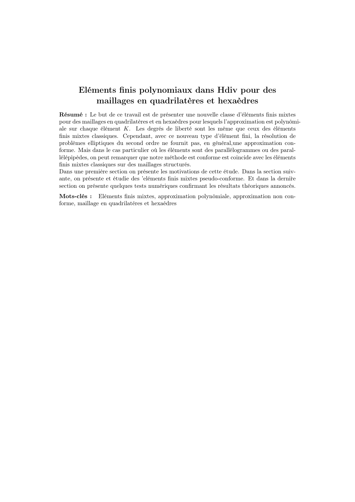# Eléments finis polynomiaux dans Hdiv pour des maillages en quadrilatères et hexaèdres

Résumé : Le but de ce travail est de présenter une nouvelle classe d'éléments finis mixtes pour des maillages en quadrilatères et en hexaèdres pour lesquels l'approximation est polynômiale sur chaque élément K. Les degrés de liberté sont les même que ceux des éléments finis mixtes classiques. Cependant, avec ce nouveau type d'élément fini, la résolution de problèmes elliptiques du second ordre ne fournit pas, en général,une approximation conforme. Mais dans le cas particulier où les éléments sont des parallélogrammes ou des parallélépipèdes, on peut remarquer que notre méthode est conforme est coincide avec les éléments finis mixtes classiques sur des maillages structurés.

Dans une première section on présente les motivations de cette étude. Dans la section suivante, on présente et étudie des 'eléments finis mixtes pseudo-conforme. Et dans la dernire section on présente quelques tests numériques confirmant les résultats théoriques annoncés.

Mots-clés : Eléments finis mixtes, approximation polynômiale, approximation non conforme, maillage en quadrilatéres et hexaédres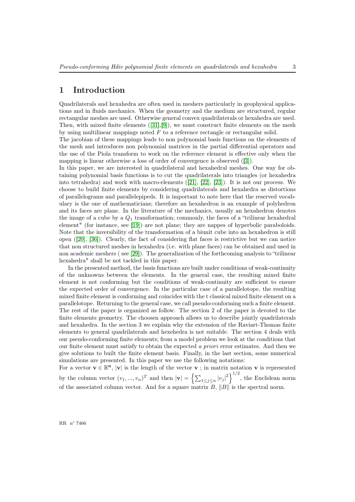# 1 Introduction

Quadrilaterals and hexahedra are often used in meshers particularly in geophysical applications and in fluids mechanics. When the geometry and the medium are structured, regular rectangular meshes are used. Otherwise general convex quadrilaterals or hexahedra are used. Then, with mixed finite elements ([\[31\]](#page-36-0),[\[9\]](#page-34-0)), we must construct finite elements on the mesh by using multilinear mappings noted  $F$  to a reference rectangle or rectangular solid.

The jacobian of these mappings leads to non polynomial basis functions on the elements of the mesh and introduces non polynomial matrices in the partial differential operators and the use of the Piola transform to work on the reference element is effective only when the mapping is linear otherwise a loss of order of convergence is observed ([\[3\]](#page-32-1)).

In this paper, we are interested in quadrilateral and hexahedral meshes. One way for obtaining polynomial basis functions is to cut the quadrilaterals into triangles (or hexahedra into tetrahedra) and work with macro-elements ([\[21\]](#page-35-0), [\[22\]](#page-35-1), [\[23\]](#page-35-2)). It is not our process. We choose to build finite elements by considering quadrilaterals and hexahedra as distortions of parallelograms and parallelepipeds. It is important to note here that the reserved vocabulary is the one of mathematicians; therefore an hexahedron is an example of polyhedron and its faces are plane. In the literature of the mechanics, usually an hexahedron denotes the image of a cube by a  $Q_1$  transformation; commonly, the faces of a "trilinear hexahedral" element" (for instance, see [\[19\]](#page-35-3)) are not plane; they are nappes of hyperbolic paraboloids. Note that the inversibility of the transformation of a biunit cube into an hexahedron is still open ([\[20\]](#page-35-4), [\[36\]](#page-36-1)). Clearly, the fact of considering flat faces is restrictive but we can notice that non structured meshes in hexahedra (i.e. with plane faces) can be obtained and used in non academic meshers ( see [\[29\]](#page-36-2)). The generalization of the forthcoming analysis to "trilinear hexahedra" shall be not tackled in this paper.

In the presented method, the basis functions are built under conditions of weak-continuity of the unknowns between the elements. In the general case, the resulting mixed finite element is not conforming but the conditions of weak-continuity are sufficient to ensure the expected order of convergence. In the particular case of a parallelotope, the resulting mixed finite element is conforming and coincides with the t classical mixed finite element on a parallelotope. Returning to the general case, we call pseudo-conforming such a finite element. The rest of the paper is organized as follow. The section 2 of the paper is devoted to the finite elements geometry. The choosen approach allows us to describe jointly quadrilaterals and hexahedra. In the section 3 we explain why the extension of the Raviart-Thomas finite elements to general quadrilaterals and hexehedra is not suitable. The section 4 deals with our pseudo-conforming finite elements; from a model problem we look at the conditions that our finite element must satisfy to obtain the expected a priori error estimates. And then we give solutions to built the finite element basis. Finally, in the last section, some numerical simulations are presented. In this paper we use the following notations:

For a vector  $\mathbf{v} \in \mathbb{R}^n$ ,  $|\mathbf{v}|$  is the length of the vector  $\mathbf{v}$ ; in matrix notation  $\mathbf{v}$  is represented by the column vector  $(v_1, ..., v_n)^T$  and then  $|\mathbf{v}| = \left\{ \sum_{1 \leq j \leq n} |v_j|^2 \right\}^{1/2}$ , the Euclidean norm of the associated column vector. And for a square matrix  $B$ ,  $||B||$  is the spectral norm.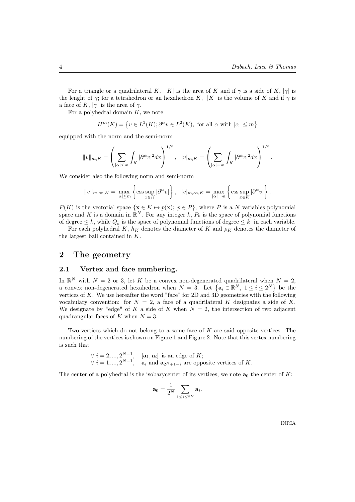For a triangle or a quadrilateral K,  $|K|$  is the area of K and if  $\gamma$  is a side of K,  $|\gamma|$  is the lenght of  $\gamma$ ; for a tetrahedron or an hexahedron K, |K| is the volume of K and if  $\gamma$  is a face of K,  $|\gamma|$  is the area of  $\gamma$ .

For a polyhedral domain  $K$ , we note

$$
H^m(K) = \{ v \in L^2(K) ; \partial^{\alpha} v \in L^2(K), \text{ for all } \alpha \text{ with } |\alpha| \le m \}
$$

equipped with the norm and the semi-norm

$$
||v||_{m,K} = \left(\sum_{|\alpha| \le m} \int_K |\partial^{\alpha} v|^2 dx\right)^{1/2}, \quad |v|_{m,K} = \left(\sum_{|\alpha|=m} \int_K |\partial^{\alpha} v|^2 dx\right)^{1/2}.
$$

We consider also the following norm and semi-norm

$$
||v||_{m,\infty,K} = \max_{|\alpha| \le m} \left\{ \operatorname{ess} \sup_{x \in K} |\partial^{\alpha} v| \right\}, \quad |v|_{m,\infty,K} = \max_{|\alpha| = m} \left\{ \operatorname{ess} \sup_{x \in K} |\partial^{\alpha} v| \right\}.
$$

 $P(K)$  is the vectorial space  $\{x \in K \mapsto p(x); p \in P\}$ , where P is a N variables polynomial space and K is a domain in  $\mathbb{R}^N$ . For any integer k,  $P_k$  is the space of polynomial functions of degree  $\leq k$ , while  $Q_k$  is the space of polynomial functions of degree  $\leq k$  in each variable.

For each polyhedral K,  $h_K$  denotes the diameter of K and  $\rho_K$  denotes the diameter of the largest ball contained in K.

### 2 The geometry

#### 2.1 Vertex and face numbering.

In  $\mathbb{R}^N$  with  $N = 2$  or 3, let K be a convex non-degenerated quadrilateral when  $N = 2$ , a convex non-degenerated hexahedron when  $N = 3$ . Let  $\{a_i \in \mathbb{R}^N, 1 \le i \le 2^N\}$  be the vertices of K. We use hereafter the word "face" for 2D and  $3\overrightarrow{D}$  geometries with the following vocabulary convention: for  $N = 2$ , a face of a quadrilateral K designates a side of K. We designate by "edge" of K a side of K when  $N = 2$ , the intersection of two adjacent quadrangular faces of K when  $N = 3$ .

Two vertices which do not belong to a same face of K are said opposite vertices. The numbering of the vertices is shown on Figure 1 and Figure 2. Note that this vertex numbering is such that

$$
\forall i = 2, ..., 2^{N-1}, \quad [\mathbf{a}_1, \mathbf{a}_i] \text{ is an edge of } K; \n\forall i = 1, ..., 2^{N-1}, \quad \mathbf{a}_i \text{ and } \mathbf{a}_{2^N+1-i} \text{ are opposite vertices of } K.
$$

The center of a polyhedral is the isobarycenter of its vertices; we note  $a_0$  the center of K:

$$
\mathbf{a}_0 = \frac{1}{2^N} \sum_{1 \leq i \leq 2^N} \mathbf{a}_i.
$$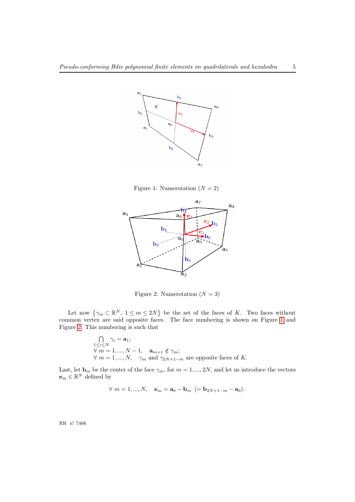

<span id="page-6-0"></span>Figure 1: Numerotation  $(N = 2)$ 



<span id="page-6-1"></span>Figure 2: Numerotation  $(N = 3)$ 

Let now  $\{\gamma_m \subset \mathbb{R}^N, 1 \leq m \leq 2N\}$  be the set of the faces of K. Two faces without common vertex are said opposite faces. The face numbering is shown on Figure [1](#page-6-0) and Figure [2.](#page-6-1) This numbering is such that

$$
\bigcap_{\substack{1 \le i \le N \\ \forall m = 1, ..., N - 1, \\ \forall m = 1, ..., N, \\ \gamma_m \text{ and } \gamma_{2N+1-m} \text{ are opposite faces of } K.
$$

Last, let  $\mathbf{b}_m$  be the center of the face  $\gamma_m$ , for  $m = 1, ..., 2N$ , and let us introduce the vectors  $\mathbf{e}_m \in \mathbb{R}^N$  defined by

$$
\forall
$$
  $m = 1, ..., N$ ,  $\mathbf{e}_m = \mathbf{a}_0 - \mathbf{b}_m$  (=  $\mathbf{b}_{2N+1-m} - \mathbf{a}_0$ ).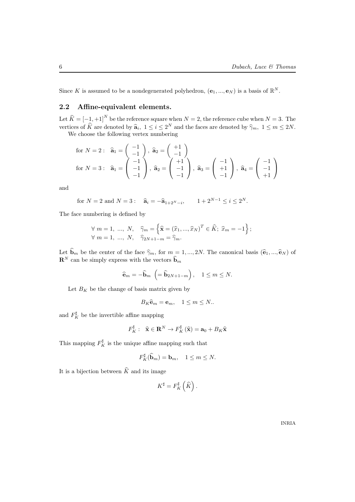Since K is assumed to be a nondegenerated polyhedron,  $(e_1, ..., e_N)$  is a basis of  $\mathbb{R}^N$ .

## 2.2 Affine-equivalent elements.

Let  $\widehat{K} = \begin{bmatrix} -1 \\ 2 \end{bmatrix}$ ,  $+1$ ]<sup>N</sup> be the reference square when  $N = 2$ , the reference cube when  $N = 3$ . The vertices of  $\hat{K}$  are denoted by  $\hat{a}_i$ ,  $1 \leq i \leq 2^N$  and the faces are denoted by  $\hat{\gamma}_m$ ,  $1 \leq m \leq 2N$ .

We choose the following vertex numbering

for 
$$
N = 2
$$
:  $\hat{\mathbf{a}}_1 = \begin{pmatrix} -1 \\ -1 \\ -1 \end{pmatrix}$ ,  $\hat{\mathbf{a}}_2 = \begin{pmatrix} +1 \\ -1 \\ -1 \end{pmatrix}$   
for  $N = 3$ :  $\hat{\mathbf{a}}_1 = \begin{pmatrix} -1 \\ -1 \\ -1 \end{pmatrix}$ ,  $\hat{\mathbf{a}}_2 = \begin{pmatrix} +1 \\ -1 \\ -1 \end{pmatrix}$ ,  $\hat{\mathbf{a}}_3 = \begin{pmatrix} -1 \\ +1 \\ -1 \end{pmatrix}$ ,  $\hat{\mathbf{a}}_4 = \begin{pmatrix} -1 \\ -1 \\ +1 \end{pmatrix}$ 

and

for 
$$
N = 2
$$
 and  $N = 3$ :  $\hat{\mathbf{a}}_i = -\hat{\mathbf{a}}_{1+2^N - i}, \qquad 1 + 2^{N-1} \le i \le 2^N$ .

The face numbering is defined by

$$
\forall m = 1, ..., N, \quad \widehat{\gamma}_m = \left\{ \widehat{\mathbf{x}} = (\widehat{x}_1, ..., \widehat{x}_N)^T \in \widehat{K}; \ \widehat{x}_m = -1 \right\};
$$
  

$$
\forall m = 1, ..., N, \quad \widehat{\gamma}_{2N+1-m} = \widehat{\gamma}_m.
$$

Let  $\mathbf{b}_m$  be the center of the face  $\hat{\gamma}_m$ , for  $m = 1, ..., 2N$ . The canonical basis  $(\hat{\mathbf{e}}_1, ..., \hat{\mathbf{e}}_N)$  of  $\mathbf{R}^N$  can be simply express with the vectors  $\mathbf{b}_m$ 

$$
\widehat{\mathbf{e}}_m = -\widehat{\mathbf{b}}_m \ \left( = \widehat{\mathbf{b}}_{2N+1-m} \right), \quad 1 \leq m \leq N.
$$

Let  $B_K$  be the change of basis matrix given by

$$
B_K\widehat{\mathbf{e}}_m = \mathbf{e}_m, \quad 1 \le m \le N.
$$

and  $F_K^{\sharp}$  be the invertible affine mapping

$$
F_K^{\sharp}:\ \ \widehat{\mathbf{x}} \in \mathbf{R}^N \to F_K^{\sharp}(\widehat{\mathbf{x}}) = \mathbf{a}_0 + B_K \widehat{\mathbf{x}}
$$

This mapping  $F_K^{\sharp}$  is the unique affine mapping such that

$$
F_K^{\sharp}(\widehat{\mathbf{b}}_m) = \mathbf{b}_m, \quad 1 \le m \le N.
$$

It is a bijection between  $\widehat{K}$  and its image

$$
K^{\sharp}=F_K^{\sharp}\left(\widehat K\right).
$$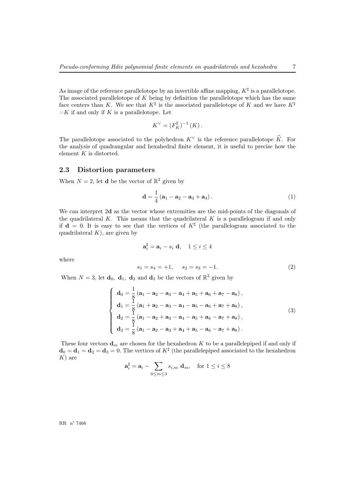As image of the reference parallelotope by an invertible affine mapping,  $K^{\sharp}$  is a parallelotope. The associated parallelotope of  $K$  being by definition the parallelotope which has the same face centers than K. We see that  $K^{\sharp}$  is the associated parallelotope of K and we have  $K^{\sharp}$  $=$ K if and only if K is a parallelotope. Let

$$
K^{\vee} = (F_K^{\sharp})^{-1} (K).
$$

The parallelotope associated to the polyhedron  $K^{\vee}$  is the reference parallelotope  $\hat{K}$ . For the analysis of quadrangular and hexahedral finite element, it is useful to precise how the element  $K$  is distorted.

#### 2.3 Distortion parameters

When  $N = 2$ , let **d** be the vector of  $\mathbb{R}^2$  given by

<span id="page-8-0"></span>
$$
\mathbf{d} = \frac{1}{4} \left( \mathbf{a}_1 - \mathbf{a}_2 - \mathbf{a}_3 + \mathbf{a}_4 \right). \tag{1}
$$

We can interpret 2d as the vector whose extremities are the mid-points of the diagonals of the quadrilateral K. This means that the quadrilateral K is a parallelogram if and only if  $\mathbf{d} = 0$ . It is easy to see that the vertices of  $K^{\sharp}$  (the parallelogram associated to the quadrilateral  $K$ ), are given by

<span id="page-8-2"></span>
$$
\mathbf{a}_{i}^{\sharp} = \mathbf{a}_{i} - s_{i} \mathbf{d}, \quad 1 \leq i \leq 4
$$
  

$$
s_{1} = s_{4} = +1, \quad s_{2} = s_{3} = -1.
$$
 (2)

When  $N = 3$ , let  $\mathbf{d}_0$ ,  $\mathbf{d}_1$ ,  $\mathbf{d}_2$  and  $\mathbf{d}_3$  be the vectors of  $\mathbb{R}^3$  given by

$$
\begin{cases}\n\mathbf{d}_0 = \frac{1}{8} (\mathbf{a}_1 - \mathbf{a}_2 - \mathbf{a}_3 - \mathbf{a}_4 + \mathbf{a}_5 + \mathbf{a}_6 + \mathbf{a}_7 - \mathbf{a}_8), \\
\mathbf{d}_1 = \frac{1}{8} (\mathbf{a}_1 + \mathbf{a}_2 - \mathbf{a}_3 - \mathbf{a}_4 - \mathbf{a}_5 - \mathbf{a}_6 + \mathbf{a}_7 + \mathbf{a}_8), \\
\mathbf{d}_2 = \frac{1}{8} (\mathbf{a}_1 - \mathbf{a}_2 + \mathbf{a}_3 - \mathbf{a}_4 - \mathbf{a}_5 + \mathbf{a}_6 - \mathbf{a}_7 + \mathbf{a}_8), \\
\mathbf{d}_3 = \frac{1}{8} (\mathbf{a}_1 - \mathbf{a}_2 - \mathbf{a}_3 + \mathbf{a}_4 + \mathbf{a}_5 - \mathbf{a}_6 - \mathbf{a}_7 + \mathbf{a}_8).\n\end{cases} (3)
$$

These four vectors  $\mathbf{d}_m$  are chosen for the hexahedron K to be a parallelepiped if and only if  $\mathbf{d}_0 = \mathbf{d}_1 = \mathbf{d}_2 = \mathbf{d}_3 = 0$ . The vertices of  $K^{\sharp}$  (the parallelepiped associated to the hexahedron  $K$ ) are

$$
\mathbf{a}_i^{\sharp} = \mathbf{a}_i - \sum_{0 \le m \le 3} s_{i,m} \mathbf{d}_m, \quad \text{for } 1 \le i \le 8
$$

RR n° 7466

<span id="page-8-1"></span>where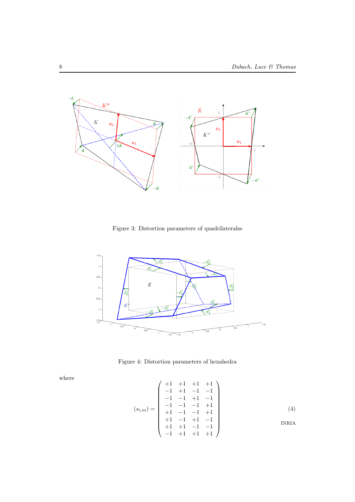

Figure 3: Distortion parameters of quadrilateralss



Figure 4: Distortion parameters of hexahedra

<span id="page-9-0"></span>where

$$
(s_{i,m}) = \begin{pmatrix} +1 & +1 & +1 & +1 \\ -1 & +1 & -1 & -1 \\ -1 & -1 & +1 & -1 \\ -1 & -1 & -1 & +1 \\ +1 & -1 & -1 & +1 \\ +1 & +1 & -1 & -1 \\ -1 & +1 & +1 & +1 \end{pmatrix}
$$
 (4)  
INRIA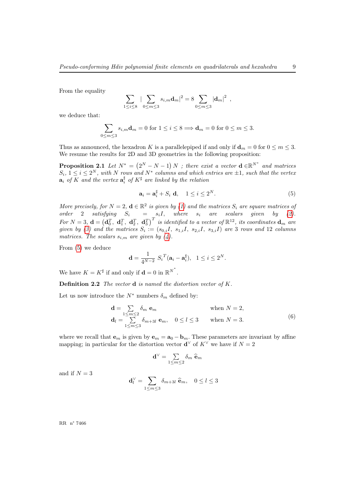From the equality

$$
\sum_{1 \leq i \leq 8} |\sum_{0 \leq m \leq 3} s_{i,m} \mathbf{d}_m|^2 = 8 \sum_{0 \leq m \leq 3} |\mathbf{d}_m|^2 ,
$$

we deduce that:

$$
\sum_{0 \le m \le 3} s_{i,m} \mathbf{d}_m = 0 \text{ for } 1 \le i \le 8 \Longrightarrow \mathbf{d}_m = 0 \text{ for } 0 \le m \le 3.
$$

Thus as announced, the hexadron K is a parallelepiped if and only if  $\mathbf{d}_m = 0$  for  $0 \le m \le 3$ . We resume the results for 2D and 3D geometries in the following proposition:

**Proposition 2.1** Let  $N^* = (2^N - N - 1)N$ ; there exist a vector  $\mathbf{d} \in \mathbb{R}^{N^*}$  and matrices  $S_i, 1 \leq i \leq 2^N$ , with N rows and  $N^*$  columns and which entries are  $\pm 1$ , such that the vertex  $\mathbf{a}_i$  of K and the vertex  $\mathbf{a}_i^{\sharp}$  of  $K^{\sharp}$  are linked by the relation

<span id="page-10-0"></span>
$$
\mathbf{a}_i = \mathbf{a}_i^{\sharp} + S_i \mathbf{d}, \quad 1 \le i \le 2^N. \tag{5}
$$

More precisely, for  $N = 2$ ,  $\mathbf{d} \in \mathbb{R}^2$  is given by [\(1\)](#page-8-0) and the matrices  $S_i$  are square matrices of order 2 satisfying  $S_i = s_i I$ , where  $s_i$  are scalars given by [\(2\)](#page-8-1). For  $N=3$ ,  $\mathbf{d} = (\mathbf{d}_0^T, \ \mathbf{d}_1^T, \ \mathbf{d}_2^T, \ \mathbf{d}_3^T)^T$  is identified to a vector of  $\mathbb{R}^{12}$ , its coordinates  $\mathbf{d}_m$  are given by [\(3\)](#page-8-2) and the matrices  $S_i := (s_{0,i}I, s_{1,i}I, s_{2,i}I, s_{3,i}I)$  are 3 rows and 12 columns matrices. The scalars  $s_{i,m}$  are given by [\(4\)](#page-9-0).

From [\(5\)](#page-10-0) we deduce

$$
\mathbf{d} = \frac{1}{4^{N-2}} S_i^T (\mathbf{a}_i - \mathbf{a}_i^{\sharp}), \ \ 1 \le i \le 2^N.
$$

We have  $K = K^{\sharp}$  if and only if  $\mathbf{d} = 0$  in  $\mathbb{R}^{N^*}$ .

**Definition 2.2** The vector  $\bf{d}$  is named the distortion vector of  $K$ .

Let us now introduce the  $N^*$  numbers  $\delta_m$  defined by:

$$
\mathbf{d} = \sum_{\substack{1 \le m \le 2 \\ \mathbf{d}_l = \sum_{1 \le m \le 3}} \delta_m \mathbf{e}_m \quad \text{when } N = 2, \\ \mathbf{d}_l = \sum_{1 \le m \le 3} \delta_{m+3l} \mathbf{e}_m, \quad 0 \le l \le 3 \quad \text{when } N = 3.
$$
 (6)

where we recall that  $\mathbf{e}_m$  is given by  $\mathbf{e}_m = \mathbf{a}_0 - \mathbf{b}_m$ . These parameters are invariant by affine mapping; in particular for the distortion vector  $\mathbf{d}^{\vee}$  of  $K^{\vee}$  we have if  $N=2$ 

$$
\mathbf{d}^\vee = \textstyle\sum\limits_{1\leq m\leq 2} \delta_m\ \widehat{\mathbf{e}}_m
$$

and if  $N = 3$ 

$$
\mathbf{d}_l^{\vee} = \sum_{1 \le m \le 3} \delta_{m+3l} \; \widehat{\mathbf{e}}_m, \quad 0 \le l \le 3
$$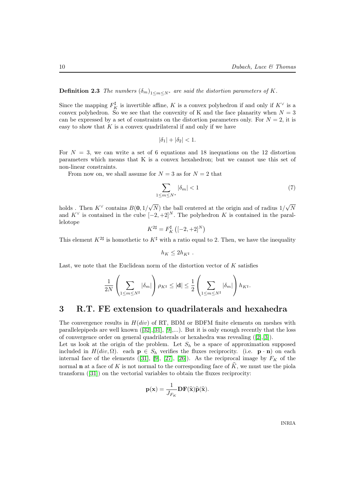### **Definition 2.3** The numbers  $(\delta_m)_{1 \le m \le N^*}$  are said the distortion parameters of K.

Since the mapping  $F_K^{\sharp}$  is invertible affine, K is a convex polyhedron if and only if  $K^{\vee}$  is a convex polyhedron. So we see that the convexity of K and the face planarity when  $N = 3$ can be expressed by a set of constraints on the distortion parameters only. For  $N = 2$ , it is easy to show that  $K$  is a convex quadrilateral if and only if we have

$$
|\delta_1|+|\delta_2|<1.
$$

For  $N = 3$ , we can write a set of 6 equations and 18 inequations on the 12 distortion parameters which means that K is a convex hexahedron; but we cannot use this set of non-linear constraints.

From now on, we shall assume for  $N = 3$  as for  $N = 2$  that

<span id="page-11-0"></span>
$$
\sum_{1 \le m \le N^*} |\delta_m| < 1 \tag{7}
$$

holds. Then  $K^{\vee}$  contains  $B(0, 1/\sqrt{N})$  the ball centered at the origin and of radius  $1/\sqrt{N}$ and  $K^{\vee}$  is contained in the cube  $[-2, +2]^{N}$ . The polyhedron K is contained in the parallelotope

$$
K^{2\sharp} = F_K^{\sharp} \left( [-2,+2]^N \right)
$$

This element  $K^{2\sharp}$  is homothetic to  $K^{\sharp}$  with a ratio equal to 2. Then, we have the inequality

$$
h_K \leq 2h_{K^{\sharp}}.
$$

Last, we note that the Euclidean norm of the distortion vector of  $K$  satisfies

$$
\frac{1}{2N}\left(\sum_{1\leq m\leq N^\sharp}|\delta_m|\right)\rho_{K^\sharp}\leq|\mathbf{d}|\leq \frac{1}{2}\left(\sum_{1\leq m\leq N^\sharp}|\delta_m|\right)h_{K^\sharp}.
$$

### 3 R.T. FE extension to quadrilaterals and hexahedra

The convergence results in  $H(div)$  of RT, BDM or BDFM finite elements on meshes with parallelepipeds are well known  $([32],[31], [9],...)$  $([32],[31], [9],...)$  $([32],[31], [9],...)$  $([32],[31], [9],...)$  $([32],[31], [9],...)$  $([32],[31], [9],...)$  $([32],[31], [9],...)$ . But it is only enough recently that the loss of convergence order on general quadrilaterals or hexahedra was revealing ([\[2\]](#page-32-2),[\[3\]](#page-32-1)).

Let us look at the origin of the problem. Let  $S_h$  be a space of approximation supposed included in  $H(div, \Omega)$ . each  $p \in S_h$  verifies the fluxes reciprocity. (i.e.  $p \cdot n$ ) on each internal face of the elements ([\[31\]](#page-36-0), [\[9\]](#page-34-0), [\[27\]](#page-36-4), [\[26\]](#page-36-5)). As the reciprocal image by  $F_K$  of the normal **n** at a face of K is not normal to the corresponding face of  $\hat{K}$ , we must use the piola transform ([\[31\]](#page-36-0)) on the vectorial variables to obtain the fluxes reciprocity:

$$
\mathbf{p}(\mathbf{x}) = \frac{1}{J_{F_K}} \mathbf{DF}(\widehat{\mathbf{x}})\widehat{\mathbf{p}}(\widehat{\mathbf{x}}).
$$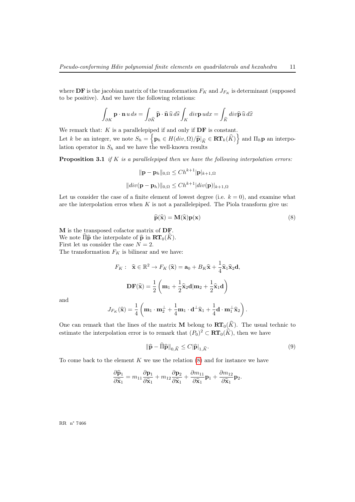where DF is the jacobian matrix of the transformation  $F_K$  and  $J_{F_K}$  is determinant (supposed to be positive). And we have the following relations:

$$
\int_{\partial K} \mathbf{p} \cdot \mathbf{n} \, u \, ds = \int_{\partial \widehat{K}} \widehat{\mathbf{p}} \cdot \widehat{\mathbf{n}} \, \widehat{u} \, d\widehat{s} \int_{K} \operatorname{div} \mathbf{p} \, u dx = \int_{\widehat{K}} \operatorname{div} \widehat{\mathbf{p}} \, \widehat{u} \, d\widehat{x}
$$

We remark that:  $K$  is a parallelepiped if and only if  $DF$  is constant. Let k be an integer, we note  $S_h = \left\{ \mathbf{p}_h \in H(div, \Omega) / \widehat{\mathbf{p}}|_{\widehat{K}} \in \mathbf{RT}_k(\widehat{K}) \right\}$  and  $\Pi_h \mathbf{p}$  an interpolation operator in  $S_h$  and we have the well-known results

**Proposition 3.1** if K is a parallelepiped then we have the following interpolation errors:

$$
\|\mathbf{p} - \mathbf{p}_h\|_{0,\Omega} \le Ch^{k+1} |\mathbf{p}|_{k+1,\Omega}
$$
  

$$
\|div(\mathbf{p} - \mathbf{p}_h)\|_{0,\Omega} \le Ch^{k+1} |div(\mathbf{p})|_{k+1,\Omega}
$$

Let us consider the case of a finite element of lowest degree (i.e.  $k = 0$ ), and examine what are the interpolation erros when  $K$  is not a parallelepiped. The Piola transform give us:

<span id="page-12-0"></span>
$$
\widehat{\mathbf{p}}(\widehat{\mathbf{x}}) = \mathbf{M}(\widehat{\mathbf{x}})\mathbf{p}(\mathbf{x})
$$
\n(8)

M is the transposed cofactor matrix of DF. We note  $\widehat{\Pi} \widehat{\mathbf{p}}$  the interpolate of  $\widehat{\mathbf{p}}$  in  $\mathbf{RT}_0(\widehat{K})$ . First let us consider the case  $N = 2$ . The transformation  $F_K$  is bilinear and we have:

$$
F_K: \ \ \hat{\mathbf{x}} \in \mathbb{R}^2 \to F_K(\hat{\mathbf{x}}) = \mathbf{a}_0 + B_K \hat{\mathbf{x}} + \frac{1}{4} \hat{\mathbf{x}}_1 \hat{\mathbf{x}}_2 \mathbf{d},
$$

$$
\mathbf{DF}(\hat{\mathbf{x}}) = \frac{1}{2} \left( \mathbf{m}_1 + \frac{1}{2} \hat{\mathbf{x}}_2 \mathbf{d} | \mathbf{m}_2 + \frac{1}{2} \hat{\mathbf{x}}_1 \mathbf{d} \right)
$$

and

$$
J_{F_K}(\widehat{\mathbf{x}})=\frac{1}{4}\left(\mathbf{m}_1\cdot\mathbf{m}_2^{\perp}+\frac{1}{4}\mathbf{m}_1\cdot\mathbf{d}^{\perp}\widehat{\mathbf{x}}_1+\frac{1}{4}\mathbf{d}\cdot\mathbf{m}_1^{\perp}\widehat{\mathbf{x}}_2\right).
$$

One can remark that the lines of the matrix **M** belong to  $\mathbf{RT}_0(\widehat{K})$ . The usual technic to estimate the interpolation error is to remark that  $(P_0)^2 \subset \mathbf{RT}_0(\hat{K})$ , then we have

<span id="page-12-1"></span>
$$
\|\widehat{\mathbf{p}} - \widehat{\Pi}\widehat{\mathbf{p}}\|_{0,\widehat{K}} \le C|\widehat{\mathbf{p}}|_{1,\widehat{K}}.\tag{9}
$$

To come back to the element  $K$  we use the relation  $(8)$  and for instance we have

$$
\frac{\partial \widehat{\mathbf{p}}_1}{\partial \widehat{\mathbf{x}}_1} = m_{11} \frac{\partial \mathbf{p}_1}{\partial \widehat{\mathbf{x}}_1} + m_{12} \frac{\partial \mathbf{p}_2}{\partial \widehat{\mathbf{x}}_1} + \frac{\partial m_{11}}{\partial \widehat{\mathbf{x}}_1} \mathbf{p}_1 + \frac{\partial m_{12}}{\partial \widehat{\mathbf{x}}_1} \mathbf{p}_2.
$$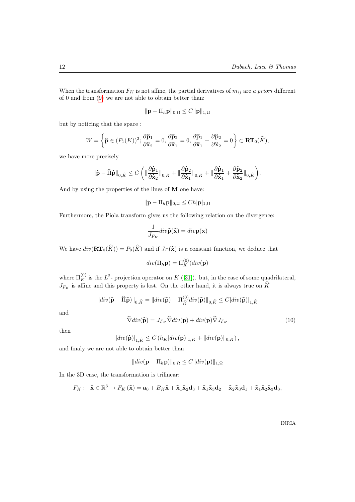When the transformation  $F_K$  is not affine, the partial derivatives of  $m_{ij}$  are a priori different of 0 and from [\(9\)](#page-12-1) we are not able to obtain better than:

$$
\|\mathbf{p} - \Pi_h \mathbf{p}\|_{0,\Omega} \leq C \|\mathbf{p}\|_{1,\Omega}
$$

but by noticing that the space :

$$
W = \left\{ \widehat{\mathbf{p}} \in (P_1(K))^2; \frac{\partial \widehat{\mathbf{p}}_1}{\partial \widehat{\mathbf{x}}_2} = 0, \frac{\partial \widehat{\mathbf{p}}_2}{\partial \widehat{\mathbf{x}}_1} = 0, \frac{\partial \widehat{\mathbf{p}}_1}{\partial \widehat{\mathbf{x}}_1} + \frac{\partial \widehat{\mathbf{p}}_2}{\partial \widehat{\mathbf{x}}_2} = 0 \right\} \subset \mathbf{RT}_0(\widehat{K}),
$$

we have more precisely

$$
\|\widehat{\mathbf{p}} - \widehat{\Pi}\widehat{\mathbf{p}}\|_{0,\widehat{K}} \leq C \left( \|\frac{\partial \widehat{\mathbf{p}}_1}{\partial \widehat{\mathbf{x}}_2}\|_{0,\widehat{K}} + \|\frac{\partial \widehat{\mathbf{p}}_2}{\partial \widehat{\mathbf{x}}_1}\|_{0,\widehat{K}} + \|\frac{\partial \widehat{\mathbf{p}}_1}{\partial \widehat{\mathbf{x}}_1} + \frac{\partial \widehat{\mathbf{p}}_2}{\partial \widehat{\mathbf{x}}_2}\|_{0,\widehat{K}} \right).
$$

And by using the properties of the lines of M one have:

 $\|\mathbf{p} - \Pi_h \mathbf{p}\|_{0,\Omega} \leq Ch |\mathbf{p}|_{1,\Omega}$ 

Furthermore, the Piola transform gives us the following relation on the divergence:

$$
\frac{1}{J_{F_K}}div\widehat{\mathbf{p}}(\widehat{\mathbf{x}}) = div\mathbf{p}(\mathbf{x})
$$

We have  $div(\mathbf{RT}_0(\widehat{K})) = P_0(\widehat{K})$  and if  $J_F(\widehat{\mathbf{x}})$  is a constant function, we deduce that

$$
div(\Pi_h \mathbf{p}) = \Pi_K^{(0)}(div(\mathbf{p})
$$

where  $\Pi_K^{(0)}$  is the  $L^2$ - projection operator on K ([\[31\]](#page-36-0)). but, in the case of some quadrilateral,  $J_{F_K}$  is affine and this property is lost. On the other hand, it is always true on K

$$
\|div(\widehat{\mathbf{p}} - \widehat{\Pi}\widehat{\mathbf{p}})\|_{0,\widehat{K}} = \|div(\widehat{\mathbf{p}}) - \Pi_{\widehat{K}}^{(0)}div(\widehat{\mathbf{p}})\|_{0,\widehat{K}} \leq C |div(\widehat{\mathbf{p}})|_{1,\widehat{K}}
$$

and

$$
\widehat{\nabla}div(\widehat{\mathbf{p}}) = J_{F_K}\widehat{\nabla}div(\mathbf{p}) + div(\mathbf{p})\widehat{\nabla}J_{F_K}
$$
\n(10)

then

$$
|div(\widehat{\mathbf{p}})|_{1,\widehat{K}} \leq C\left(h_K|div(\mathbf{p})|_{1,K} + ||div(\mathbf{p})||_{0,K}\right),\,
$$

and finaly we are not able to obtain better than

$$
||div(\mathbf{p} - \Pi_h \mathbf{p})||_{0,\Omega} \leq C||div(\mathbf{p})||_{1,\Omega}
$$

In the 3D case, the transformation is trilinear:

$$
F_K: \ \ \hat{\mathbf{x}} \in \mathbb{R}^3 \to F_K(\hat{\mathbf{x}}) = \mathbf{a}_0 + B_K \hat{\mathbf{x}} + \hat{\mathbf{x}}_1 \hat{\mathbf{x}}_2 \mathbf{d}_3 + \hat{\mathbf{x}}_1 \hat{\mathbf{x}}_3 \mathbf{d}_2 + \hat{\mathbf{x}}_2 \hat{\mathbf{x}}_3 \mathbf{d}_1 + \hat{\mathbf{x}}_1 \hat{\mathbf{x}}_2 \hat{\mathbf{x}}_3 \mathbf{d}_0,
$$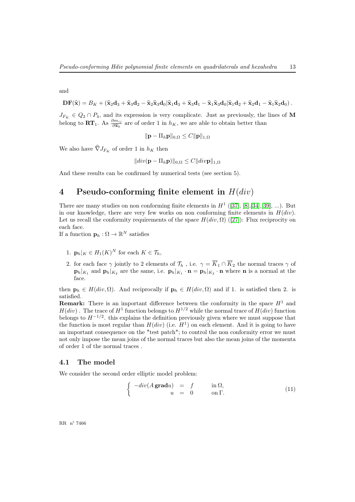and

$$
\mathbf{DF}(\widehat{\mathbf{x}}) = B_K + (\widehat{\mathbf{x}}_2\mathbf{d}_3 + \widehat{\mathbf{x}}_3\mathbf{d}_2 - \widehat{\mathbf{x}}_2\widehat{\mathbf{x}}_3\mathbf{d}_0|\widehat{\mathbf{x}}_1\mathbf{d}_3 + \widehat{\mathbf{x}}_3\mathbf{d}_1 - \widehat{\mathbf{x}}_1\widehat{\mathbf{x}}_3\mathbf{d}_0|\widehat{\mathbf{x}}_1\mathbf{d}_2 + \widehat{\mathbf{x}}_2\mathbf{d}_1 - \widehat{\mathbf{x}}_1\widehat{\mathbf{x}}_2\mathbf{d}_0).
$$

 $J_{F_K} \in Q_2 \cap P_4$ , and its expression is very complicate. Just as previously, the lines of M belong to  $\mathbf{RT}_1$ . As  $\frac{\partial m_{ij}}{\partial \hat{\mathbf{x}}_k}$  are of order 1 in  $h_K$ , we are able to obtain better than

$$
\|\mathbf{p} - \Pi_h \mathbf{p}\|_{0,\Omega} \leq C \|\mathbf{p}\|_{1,\Omega}
$$

We also have  $\widehat{\nabla}J_{F_K}$  of order 1 in  $h_K$  then

$$
||div(\mathbf{p} - \Pi_h \mathbf{p})||_{0,\Omega} \leq C||div\mathbf{p}||_{1,\Omega}
$$

And these results can be confirmed by numerical tests (see section 5).

# 4 Pseudo-conforming finite element in  $H(div)$

There are many studies on non conforming finite elements in  $H^1$  ([\[37\]](#page-36-6), [\[8\]](#page-33-0), [\[34\]](#page-36-7), [\[39\]](#page-37-0), ...). But in our knowledge, there are very few works on non conforming finite elements in  $H(div)$ . Let us recall the conformity requirements of the space  $H(div, \Omega)$  ([\[27\]](#page-36-4)): Flux reciprocity on each face.

If a function  $\mathbf{p}_h : \Omega \to \mathbb{R}^N$  satisfies

- 1.  $\mathbf{p}_h|_K \in H_1(K)^N$  for each  $K \in \mathcal{T}_h$ ,
- 2. for each face  $\gamma$  jointly to 2 elements of  $\mathcal{T}_h$ , i.e.  $\gamma = \overline{K}_1 \cap \overline{K}_2$  the normal traces  $\gamma$  of  $\mathbf{p}_h|_{K_1}$  and  $\mathbf{p}_h|_{K_2}$  are the same, i.e.  $\mathbf{p}_h|_{K_1} \cdot \mathbf{n} = \mathbf{p}_h|_{K_2} \cdot \mathbf{n}$  where **n** is a normal at the face.

then  $\mathbf{p}_h \in H(\text{div}, \Omega)$ . And reciprocally if  $\mathbf{p}_h \in H(\text{div}, \Omega)$  and if 1. is satisfied then 2. is satisfied.

**Remark:** There is an important difference between the conformity in the space  $H<sup>1</sup>$  and  $H(div)$ . The trace of  $H^1$  function belongs to  $H^{1/2}$  while the normal trace of  $H(div)$  function belongs to  $H^{-1/2}$ . this explains the definition previously given where we must suppose that the function is most regular than  $H(div)$  (i.e.  $H<sup>1</sup>$ ) on each element. And it is going to have an important consequence on the "test patch"; to control the non conformity error we must not only impose the mean joins of the normal traces but also the mean joins of the momenta of order 1 of the normal traces .

#### 4.1 The model

We consider the second order elliptic model problem:

<span id="page-14-0"></span>
$$
\begin{cases}\n-div(A\,\mathbf{grad}u) &= f & \text{in }\Omega, \\
u &= 0 & \text{on }\Gamma.\n\end{cases}
$$
\n(11)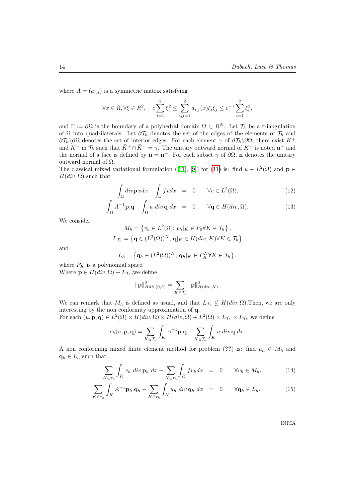where  $A = (a_{i,j})$  is a symmetric matrix satisfying

$$
\forall x \in \bar{\Omega}, \forall \xi \in R^2, \quad c \sum_{i=1}^2 \xi_i^2 \le \sum_{i,j=1}^2 a_{i,j}(x)\xi_i \xi_j \le c^{-1} \sum_{i=1}^2 \xi_i^2,
$$

and  $\Gamma := \partial \Omega$  is the boundary of a polyhedral domain  $\Omega \subset R^N$ . Let  $\mathcal{T}_h$  be a triangulation of  $\Omega$  into quadrilaterals. Let  $\partial \mathcal{T}_h$  denotes the set of the edges of the elements of  $\mathcal{T}_h$  and  $\partial\mathcal{T}_h\setminus\partial\Omega$  denotes the set of interior edges. For each element  $\gamma$  of  $\partial\mathcal{T}_h\setminus\partial\Omega$ , there exist K<sup>+</sup> and  $K^-$  in  $\mathcal{T}_h$  such that  $\bar{K}^+ \cap \bar{K}^- = \gamma$ . The unitary outward normal of  $K^+$  is noted  $\mathbf{n}^+$  and the normal of a face is defined by  $\mathbf{n} = \mathbf{n}^+$ . For each subset  $\gamma$  of  $\partial\Omega$ ,  $\mathbf{n}$  denotes the unitary outward normal of Ω.

The classical mixed variational formulation ([\[31\]](#page-36-0), [\[9\]](#page-34-0)) for ([11](#page-14-0)) is: find  $u \in L^2(\Omega)$  and  $\mathbf{p} \in L^2(\Omega)$  $H(div, \Omega)$  such that

$$
\int_{\Omega} \operatorname{div} \mathbf{p} \, v \, dx - \int_{\Omega} f v \, dx = 0 \qquad \forall v \in L^{2}(\Omega), \tag{12}
$$

$$
\int_{\Omega} A^{-1} \mathbf{p} \cdot \mathbf{q} - \int_{\Omega} u \, \operatorname{div} \mathbf{q} \, dx = 0 \qquad \forall \mathbf{q} \in H(\operatorname{div}, \Omega). \tag{13}
$$

We consider

$$
M_h = \{v_h \in L^2(\Omega); \, v_h|_K \in P_0 \forall K \in \mathcal{T}_h\},
$$
  

$$
L_{\mathcal{T}_h} = \{ \mathbf{q} \in (L^2(\Omega))^N; \, \mathbf{q}|_K \in H(div, K) \forall K \in \mathcal{T}_h \}
$$

and

$$
L_h = \left\{ \mathbf{q}_h \in (L^2(\Omega))^N; \, \mathbf{q}_h|_K \in P_K^N \forall K \in \mathcal{T}_h \right\},\,
$$

where  $P_K$  is a polynomial space.

Where  $\mathbf{p} \in H(div, \Omega) + L_{\mathcal{T}_h}$ , we define

$$
\|\mathbf{p}\|_{Hdiv(0,h)}^2 = \sum_{K \in \mathcal{T}_h} \|\mathbf{p}\|_{H(div,K)}^2.
$$

We can remark that  $M_h$  is defined as usual, and that  $L_{\mathcal{T}_h} \nsubseteq H(div, \Omega)$ . Then, we are only interesting by the non conformity approximation of q. For each  $(u, \mathbf{p}, \mathbf{q}) \in L^2(\Omega) \times Hdiv, \Omega \times Hdiv, \Omega) + L^2(\Omega) \times L_{\mathcal{T}_h} \times L_{\mathcal{T}_h}$  we define

$$
c_h(u, \mathbf{p}, \mathbf{q}) = \sum_{K \in \mathcal{T}_h} \int_K A^{-1} \mathbf{p} \cdot \mathbf{q} - \sum_{K \in \mathcal{T}_h} \int_K u \, \operatorname{div} \mathbf{q} \, \operatorname{dx}.
$$

A non conforming mixed finite element method for problem (??) is: find  $u_h \in M_h$  and  $q_h \in L_h$  such that

<span id="page-15-0"></span>
$$
\sum_{K \in \tau_h} \int_K v_h \, \text{div} \, \mathbf{p}_h \, \text{div} \, \sum_{K \in \tau_h} \int_K f v_h \text{dx} = 0 \qquad \forall v_h \in M_h, \tag{14}
$$

$$
\sum_{K \in \tau_h} \int_K A^{-1} \mathbf{p}_h \cdot \mathbf{q}_h - \sum_{K \in \tau_h} \int_K u_h \, \operatorname{div} \mathbf{q}_h \, \operatorname{dx} \quad = \quad 0 \qquad \forall \mathbf{q}_h \in L_h. \tag{15}
$$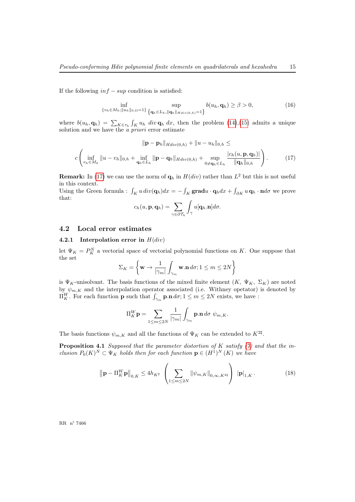<span id="page-16-1"></span>If the following  $inf - sup$  condition is satisfied:

$$
\inf_{\{v_h \in M_h: \|u_h\|_{0,\Omega} = 1\}} \sup_{\{\mathbf{q}_h \in L_h, \|\mathbf{q}_h\|_{Hdiv(0,h)} = 1\}} b(u_h, \mathbf{q}_h) \ge \beta > 0,
$$
\n(16)

where  $b(u_h, \mathbf{q}_h) = \sum_{K \in \tau_h} \int_K u_h \, dv \, \mathbf{q}_h \, dx$ , then the problem [\(14\)](#page-15-0),[\(15\)](#page-15-0) admits a unique solution and we have the *a priori* error estimate

$$
\|\mathbf{p} - \mathbf{p}_h\|_{Hdiv(0,h)} + \|u - u_h\|_{0,h} \le
$$
  

$$
c \left( \inf_{v_h \in M_h} \|u - v_h\|_{0,h} + \inf_{\mathbf{q}_h \in L_h} \|\mathbf{p} - \mathbf{q}_h\|_{Hdiv(0,h)} + \sup_{0 \neq \mathbf{q}_h \in L_h} \frac{|c_h(u, \mathbf{p}, \mathbf{q}_h)|}{\|\mathbf{q}_h\|_{0,h}} \right).
$$
 (17)

**Remark:** In [\(17\)](#page-16-0) we can use the norm of  $q_h$  in  $H(div)$  rather than  $L^2$  but this is not useful in this context.

Using the Green formula :  $\int_K u \, div(\mathbf{q}_h) dx = -\int_K \mathbf{grad} u \cdot \mathbf{q}_h dx + \int_{\partial K} u \, \mathbf{q}_h \cdot \mathbf{n} d\sigma$  we prove that:

<span id="page-16-0"></span>
$$
c_h(u, \mathbf{p}, \mathbf{q}_h) = \sum_{\gamma \in \partial \mathcal{T}_h} \int_{\gamma} u[\mathbf{q}_h.\mathbf{n}] d\sigma.
$$

#### 4.2 Local error estimates

#### 4.2.1 Interpolation error in  $H(div)$

let  $\Psi_K = P_K^N$  a vectorial space of vectorial polynomial functions on K. One suppose that the set

$$
\Sigma_K = \left\{ \mathbf{w} \rightarrow \frac{1}{|\gamma_m|} \int_{\gamma_m} \mathbf{w}.\mathbf{n} \, d\sigma ; 1 \leq m \leq 2N \right\}
$$

is  $\Psi_K$ -unisolvant. The basis functions of the mixed finite element  $(K, \Psi_K, \Sigma_K)$  are noted by  $\psi_{m,K}$  and the interpolation operator associated (i.e. Withney operator) is denoted by  $\Pi_K^W$ . For each function **p** such that  $\int_{\gamma_m}$  **p**.n  $d\sigma$ ;  $1 \le m \le 2N$  exists, we have :

<span id="page-16-2"></span>
$$
\Pi_{K}^{W}\mathbf{p} = \sum_{1 \leq m \leq 2N} \frac{1}{|\gamma_{m}|} \int_{\gamma_{m}} \mathbf{p} \cdot \mathbf{n} \, d\sigma \, \psi_{m,K}.
$$

The basis functions  $\psi_{m,K}$  and all the functions of  $\Psi_K$  can be extended to  $K^{2\sharp}$ .

**Proposition 4.1** Supposed that the parameter distortion of K satisfy  $(7)$  and that the inclusion  $P_0(K)^N \subset \Psi_K$  holds then for each function  $\mathbf{p} \in (H^1)^N (K)$  we have

$$
\left\| \mathbf{p} - \Pi_{K}^{W} \mathbf{p} \right\|_{0, K} \le 4h_{K^{\sharp}} \left( \sum_{1 \le m \le 2N} \left\| \psi_{m, K} \right\|_{0, \infty, K^{2\sharp}} \right) \left\| \mathbf{p} \right\|_{1, K}.
$$
 (18)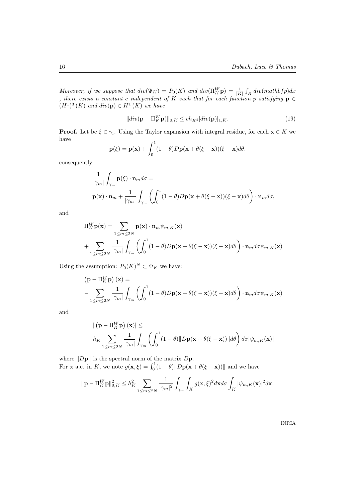Moreover, if we suppose that  $div(\Psi_K) = P_0(K)$  and  $div(\Pi_K^W \mathbf{p}) = \frac{1}{|K|} \int_K div(mathbf p) dx$ , there exists a constant c independent of K such that for each function p satisfying  $\mathbf{p} \in$  $(H<sup>1</sup>)<sup>3</sup>(K)$  and  $div(\mathbf{p}) \in H<sup>1</sup>(K)$  we have

$$
||div(\mathbf{p} - \Pi_{K}^{W}\mathbf{p})||_{0,K} \le ch_{K^{\sharp}}|div(\mathbf{p})|_{1,K}.
$$
\n(19)

**Proof.** Let be  $\xi \in \gamma_i$ . Using the Taylor expansion with integral residue, for each  $\mathbf{x} \in K$  we have

$$
\mathbf{p}(\xi) = \mathbf{p}(\mathbf{x}) + \int_0^1 (1 - \theta) D\mathbf{p}(\mathbf{x} + \theta(\xi - \mathbf{x}))(\xi - \mathbf{x}) d\theta.
$$

consequently

$$
\frac{1}{|\gamma_m|} \int_{\gamma_m} \mathbf{p}(\xi) \cdot \mathbf{n}_m d\sigma =
$$
  

$$
\mathbf{p}(\mathbf{x}) \cdot \mathbf{n}_m + \frac{1}{|\gamma_m|} \int_{\gamma_m} \left( \int_0^1 (1 - \theta) D\mathbf{p}(\mathbf{x} + \theta(\xi - \mathbf{x}))(\xi - \mathbf{x}) d\theta \right) \cdot \mathbf{n}_m d\sigma,
$$

and

$$
\Pi_{K}^{W} \mathbf{p}(\mathbf{x}) = \sum_{1 \le m \le 2N} \mathbf{p}(\mathbf{x}) \cdot \mathbf{n}_{m} \psi_{m,K}(\mathbf{x}) + \sum_{1 \le m \le 2N} \frac{1}{|\gamma_{m}|} \int_{\gamma_{m}} \left( \int_{0}^{1} (1 - \theta) D\mathbf{p}(\mathbf{x} + \theta(\xi - \mathbf{x}))(\xi - \mathbf{x}) d\theta \right) \cdot \mathbf{n}_{m} d\sigma \psi_{m,K}(\mathbf{x})
$$

Using the assumption:  $P_0(K)^N \subset \Psi_K$  we have:

$$
\begin{aligned} \left(\mathbf{p} - \Pi_{K}^{W}\mathbf{p}\right)(\mathbf{x}) &= \\ &- \sum_{1 \leq m \leq 2N} \frac{1}{|\gamma_{m}|} \int_{\gamma_{m}} \left( \int_{0}^{1} (1 - \theta) D\mathbf{p}(\mathbf{x} + \theta(\xi - \mathbf{x}))(\xi - \mathbf{x}) d\theta \right) \cdot \mathbf{n}_{m} d\sigma \psi_{m,K}(\mathbf{x}) \end{aligned}
$$

and

$$
\left| \left( \mathbf{p} - \Pi_{K}^{W} \mathbf{p} \right) (\mathbf{x}) \right| \le
$$
  

$$
h_{K} \sum_{1 \le m \le 2N} \frac{1}{|\gamma_{m}|} \int_{\gamma_{m}} \left( \int_{0}^{1} (1 - \theta) \| D\mathbf{p} (\mathbf{x} + \theta(\xi - \mathbf{x})) \| d\theta \right) d\sigma |\psi_{m,K}(\mathbf{x})|
$$

where  $||D\mathbf{p}||$  is the spectral norm of the matrix  $D\mathbf{p}$ . For **x** a.e. in K, we note  $g(\mathbf{x}, \xi) = \int_0^1 (1 - \theta) ||D\mathbf{p}(\mathbf{x} + \theta(\xi - \mathbf{x}))||$  and we have

$$
\|\mathbf{p} - \Pi_K^W \mathbf{p}\|_{0,K}^2 \leq h_K^2 \sum_{1 \leq m \leq 2N} \frac{1}{|\gamma_m|^2} \int_{\gamma_m} \int_K g(\mathbf{x}, \xi)^2 d\mathbf{x} d\sigma \int_K |\psi_{m,K}(\mathbf{x})|^2 d\mathbf{x}.
$$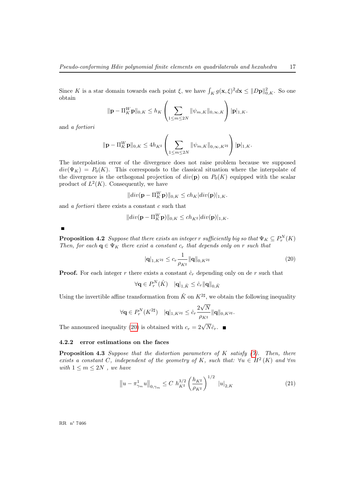Since K is a star domain towards each point  $\xi$ , we have  $\int_K g(\mathbf{x}, \xi)^2 d\mathbf{x} \leq ||D\mathbf{p}||_{0,K}^2$ . So one obtain

$$
\|\mathbf{p} - \Pi_{K}^{W}\mathbf{p}\|_{0,K} \leq h_{K} \left(\sum_{1 \leq m \leq 2N} \|\psi_{m,K}\|_{0,\infty,K}\right) |\mathbf{p}|_{1,K}.
$$

and a fortiori

$$
\|\mathbf{p} - \Pi_{K}^{W}\mathbf{p}\|_{0,K} \leq 4h_{K^{\sharp}}\left(\sum_{1 \leq m \leq 2N} \|\psi_{m,K}\|_{0,\infty,K^{2\sharp}}\right) |\mathbf{p}|_{1,K}.
$$

The interpolation error of the divergence does not raise problem because we supposed  $div(\Psi_K) = P_0(K)$ . This corresponds to the classical situation where the interpolate of the divergence is the orthogonal projection of  $div(\mathbf{p})$  on  $P_0(K)$  equipped with the scalar product of  $L^2(K)$ . Consequently, we have

$$
||div(\mathbf{p} - \Pi_K^W \mathbf{p})||_{0,K} \le ch_K |div(\mathbf{p})|_{1,K}.
$$

and a fortiori there exists a constant c such that

$$
||div(\mathbf{p} - \Pi_K^W \mathbf{p})||_{0,K} \le ch_{K^{\sharp}}|div(\mathbf{p})|_{1,K}.
$$

<span id="page-18-2"></span>

**Proposition 4.2** Suppose that there exists an integer r sufficiently big so that  $\Psi_K \subseteq P_r^N(K)$ Then, for each  $q \in \Psi_K$  there exist a constant  $c_r$  that depends only on r such that

<span id="page-18-0"></span>
$$
|\mathbf{q}|_{1,K^{2\sharp}} \le c_r \frac{1}{\rho_{K^{\sharp}}} \|\mathbf{q}\|_{0,K^{2\sharp}}
$$
\n(20)

**Proof.** For each integer r there exists a constant  $\hat{c}_r$  depending only on de r such that

$$
\forall \mathbf{q} \in P_r^N(\hat{K}) \quad \|\mathbf{q}\|_{1,\hat{K}} \leq \hat{c}_r \|\mathbf{q}\|_{0,\hat{K}}
$$

Using the invertible affine transformation from  $\hat{K}$  on  $K^{2\sharp}$ , we obtain the following inequality

$$
\forall {\bf q}\in P_r^N(K^{2\sharp})\quad |{\bf q}|_{1,K^{2\sharp}}\leq \hat c_r\frac{2\sqrt{N}}{\rho_{K^\sharp}}\|{\bf q}\|_{0,K^{2\sharp}}.
$$

The announced inequality ([20](#page-18-0)) is obtained with  $c_r = 2\sqrt{N}\hat{c}_r$ .

#### 4.2.2 error estimations on the faces

<span id="page-18-1"></span>**Proposition 4.3** Suppose that the distortion parameters of  $K$  satisfy  $(7)$ . Then, there exists a constant C, independent of the geometry of K, such that:  $\forall u \in H^2(K)$  and  $\forall m$ with  $1 \leq m \leq 2N$ , we have

$$
\left\|u - \pi_{\gamma_m}^1 u\right\|_{0,\gamma_m} \le C \ h_{K^\sharp}^{3/2} \left(\frac{h_{K^\sharp}}{\rho_{K^\sharp}}\right)^{1/2} \ |u|_{2,K} \tag{21}
$$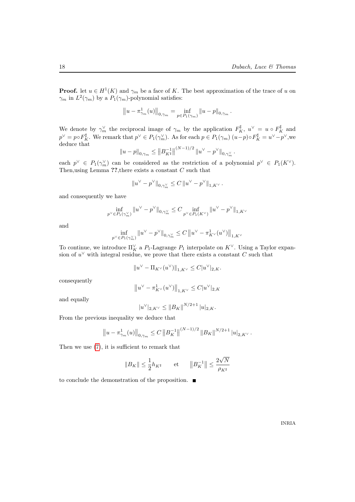**Proof.** let  $u \in H^1(K)$  and  $\gamma_m$  be a face of K. The best approximation of the trace of u on  $\gamma_m$  in  $L^2(\gamma_m)$  by a  $P_1(\gamma_m)$ -polynomial satisfies:

$$
||u - \pi_{\gamma_m}^1(u)||_{0,\gamma_m} = \inf_{p \in P_1(\gamma_m)} ||u - p||_{0,\gamma_m}.
$$

We denote by  $\gamma_m^{\vee}$  the reciprocal image of  $\gamma_m$  by the application  $F_K^{\sharp}$ ,  $u^{\vee} = u \circ F_K^{\sharp}$  and  $p^{\vee} = p \circ F_K^{\sharp}$ . We remark that  $p^{\vee} \in P_1(\gamma_m^{\vee})$ . As for each  $p \in P_1(\gamma_m)$   $(u-p) \circ F_K^{\sharp} = u^{\vee} - p^{\vee}$ , we deduce that

$$
||u-p||_{0,\gamma_m} \leq ||B_{K^{\sharp}}^{-1}||^{(N-1)/2} ||u^{\vee}-p^{\vee}||_{0,\gamma_m^{\vee}}.
$$

each  $p^{\vee} \in P_1(\gamma_m^{\vee})$  can be considered as the restriction of a polynomial  $p^{\vee} \in P_1(K^{\vee})$ . Then, using Lemma ??, there exists a constant  $C$  such that

$$
||u^{\vee}-p^{\vee}||_{0,\gamma_m^{\vee}} \leq C ||u^{\vee}-p^{\vee}||_{1,K^{\vee}}.
$$

and consequently we have

$$
\inf_{p^\vee\in P_1(\gamma_m^\vee)}\|u^\vee-p^\vee\|_{0,\gamma_m^\vee}\leq C\inf_{p^\vee\in P_1(K^\vee)}\|u^\vee-p^\vee\|_{1,K^\vee}
$$

and

$$
\inf_{p^{\vee}\in P_1(\gamma_m^{\vee})} \|u^{\vee}-p^{\vee}\|_{0,\gamma_m^{\vee}} \leq C \left\|u^{\vee}-\pi_{K^{\vee}}^1(u^{\vee})\right\|_{1,K^{\vee}}
$$

To continue, we introduce  $\Pi_K^{\vee}$  a  $P_1$ -Lagrange  $P_1$  interpolate on  $K^{\vee}$ . Using a Taylor expansion of  $u^{\vee}$  with integral residue, we prove that there exists a constant C such that

$$
||u^{\vee} - \Pi_{K^{\vee}}(u^{\vee})||_{1, K^{\vee}} \leq C|u^{\vee}|_{2, K}.
$$

consequently

$$
\big\|u^\vee-\pi^1_{K^\vee}(u^\vee)\big\|_{1,K^\vee}\leq C|u^\vee|_{2,K}
$$

and equally

$$
|u^{\vee}|_{2,K^{\vee}} \leq ||B_K||^{N/2+1} |u|_{2,K}.
$$

From the previous inequality we deduce that

$$
\left\|u - \pi_{\gamma_m}^1(u)\right\|_{0,\gamma_m} \le C \left\|B_K^{-1}\right\|^{(N-1)/2} \left\|B_K\right\|^{N/2+1} |u|_{2,K^\vee}.
$$

Then we use [\(7\)](#page-11-0), it is sufficient to remark that

$$
\|B_K\| \leq \frac{1}{2} h_{K^{\sharp}} \qquad \text{et} \qquad \big\|B_K^{-1}\big\| \leq \frac{2\sqrt{N}}{\rho_{K^{\sharp}}}
$$

to conclude the demonstration of the proposition.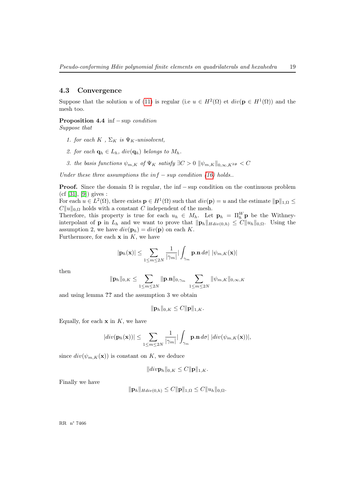#### 4.3 Convergence

Suppose that the solution u of [\(11\)](#page-14-0) is regular (i.e  $u \in H^2(\Omega)$  et  $div(\mathbf{p} \in H^1(\Omega))$  and the mesh too.

# **Proposition 4.4** inf  $-$  sup *condition*

Suppose that

- 1. for each  $K$ ,  $\Sigma_K$  is  $\Psi_K$ -unisolvent,
- 2. for each  $\mathbf{q}_h \in L_h$ ,  $div(\mathbf{q}_h)$  belongs to  $M_h$ .
- 3. the basis functions  $\psi_{m,K}$  of  $\Psi_K$  satisfy  $\exists C > 0$   $\|\psi_{m,K}\|_{0,\infty,K^{2\#}} < C$

Under these three assumptions the  $inf - sup$  condition [\(16\)](#page-16-1) holds..

**Proof.** Since the domain  $\Omega$  is regular, the inf – sup condition on the continuous problem  $(cf [31], [9])$  $(cf [31], [9])$  $(cf [31], [9])$  $(cf [31], [9])$  $(cf [31], [9])$  gives :

For each  $u \in L^2(\Omega)$ , there exists  $\mathbf{p} \in H^1(\Omega)$  such that  $div(\mathbf{p}) = u$  and the estimate  $\|\mathbf{p}\|_{1,\Omega} \leq$  $C||u||_{0,\Omega}$  holds with a constant C independent of the mesh.

Therefore, this property is true for each  $u_h \in M_h$ . Let  $\mathbf{p}_h = \Pi_h^W \mathbf{p}$  be the Withneyinterpolant of **p** in  $L_h$  and we want to prove that  $\|\mathbf{p}_h\|_{Hdiv(0,h)} \leq C \|u_h\|_{0,\Omega}$ . Using the assumption 2, we have  $div(\mathbf{p}_h) = div(\mathbf{p})$  on each K. Furthermore, for each  $x$  in  $K$ , we have

$$
|\mathbf{p}_h(\mathbf{x})| \leq \sum_{1 \leq m \leq 2N} \frac{1}{|\gamma_m|} |\int_{\gamma_m} \mathbf{p} \cdot \mathbf{n} \, d\sigma| \, |\psi_{m,K}(\mathbf{x})|
$$

then

$$
\|\mathbf{p}_h\|_{0,K} \leq \sum_{1 \leq m \leq 2N} \|\mathbf{p}.\mathbf{n}\|_{0,\gamma_m} \sum_{1 \leq m \leq 2N} \|\psi_{m,K}\|_{0,\infty,K}
$$

and using lemma ?? and the assumption 3 we obtain

$$
\|\mathbf{p}_h\|_{0,K}\leq C \|\mathbf{p}\|_{1,K}.
$$

Equally, for each  $x$  in  $K$ , we have

$$
|div(\mathbf{p}_h(\mathbf{x}))| \leq \sum_{1 \leq m \leq 2N} \frac{1}{|\gamma_m|} |\int_{\gamma_m} \mathbf{p} \cdot \mathbf{n} d\sigma| |div(\psi_{m,K}(\mathbf{x}))|,
$$

since  $div(\psi_{m,K}(\mathbf{x}))$  is constant on K, we deduce

$$
||div\mathbf{p}_h||_{0,K} \leq C ||\mathbf{p}||_{1,K}.
$$

Finally we have

$$
\|\mathbf{p}_h\|_{Hdiv(0,h)} \leq C \|\mathbf{p}\|_{1,\Omega} \leq C \|u_h\|_{0,\Omega}.
$$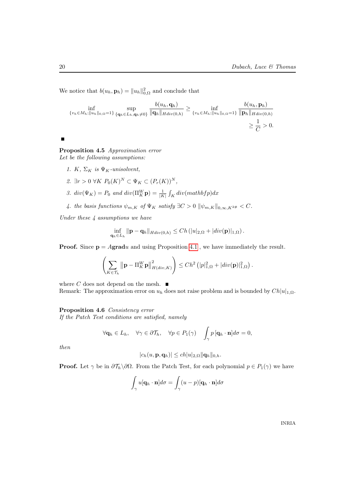We notice that  $b(u_h, \mathbf{p}_h) = ||u_h||_{0,\Omega}^2$  and conclude that

$$
\inf_{\{v_h \in M_h; ||u_h||_{0,\Omega} = 1\}} \sup_{\{\mathbf{q}_h \in L_h, \mathbf{q}_h \neq 0\}} \frac{b(u_h, \mathbf{q}_h)}{\|\mathbf{q}_h\|_{Hdiv(0,h)}} \ge \inf_{\{v_h \in M_h; ||u_h||_{0,\Omega} = 1\}} \frac{b(u_h, \mathbf{p}_h)}{\|\mathbf{p}_h\|_{Hdiv(0,h)}} \ge \frac{1}{C} > 0.
$$

<span id="page-21-0"></span> $\blacksquare$ 

Proposition 4.5 Approximation error Let be the following assumptions:

- 1. K,  $\Sigma_K$  is  $\Psi_K$ -unisolvent,
- 2.  $\exists r > 0 \ \forall K \ P_0(K)^N \subset \Psi_K \subset (P_r(K))^N$ ,
- 3.  $div(\Psi_K) = P_0$  and  $div(\Pi_K^W \mathbf{p}) = \frac{1}{|K|} \int_K div(mathbf p) dx$
- 4. the basis functions  $\psi_{m,K}$  of  $\Psi_K$  satisfy  $\exists C > 0 \ \|\psi_{m,K}\|_{0,\infty,K^{2\#}} < C$ .

Under these  $\frac{1}{4}$  assumptions we have

$$
\inf_{\mathbf{q}_h \in L_h} \|\mathbf{p} - \mathbf{q}_h\|_{Hdiv(0,h)} \le Ch\left(|u|_{2,\Omega} + |div(\mathbf{p})|_{1,\Omega}\right).
$$

**Proof.** Since  $p = Agradu$  and using Proposition [4.1](#page-16-2), we have immediately the result.

$$
\left(\sum_{K\in\mathcal{T}_h}\left\|\mathbf{p}-\Pi_K^W\mathbf{p}\right\|_{H(div,K)}^2\right)\leq Ch^2\left(|p|_{1,\Omega}^2+|div(\mathbf{p})|_{1,\Omega}^2\right).
$$

where C does not depend on the mesh.  $\blacksquare$ 

<span id="page-21-1"></span>Remark: The approximation error on  $u_h$  does not raise problem and is bounded by  $Ch|u|_{1,\Omega}$ .

#### Proposition 4.6 Consistency error

If the Patch Test conditions are satisfied, namely

$$
\forall \mathbf{q}_h \in L_h, \quad \forall \gamma \in \partial \mathcal{T}_h, \quad \forall p \in P_1(\gamma) \quad \int_{\gamma} p \left[ \mathbf{q}_h \cdot \mathbf{n} \right] d\sigma = 0,
$$

then

$$
|c_h(u, \mathbf{p}, \mathbf{q}_h)| \le ch |u|_{2,\Omega} \|\mathbf{q}_h\|_{0,h}.
$$

**Proof.** Let  $\gamma$  be in  $\partial \mathcal{T}_h \setminus \partial \Omega$ . From the Patch Test, for each polynomial  $p \in P_1(\gamma)$  we have

$$
\int_{\gamma} u[\mathbf{q}_h \cdot \mathbf{n}] d\sigma = \int_{\gamma} (u - p)[\mathbf{q}_h \cdot \mathbf{n}] d\sigma
$$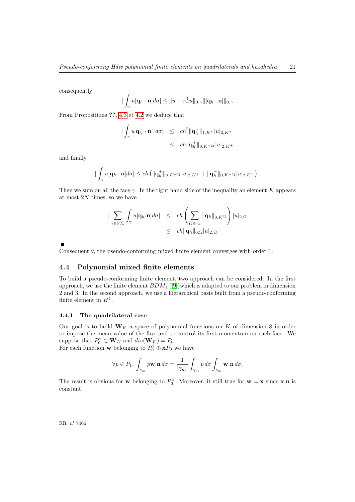consequently

$$
|\int_{\gamma} u[\mathbf{q}_h\cdot\mathbf{n}]d\sigma| \leq \|u-\pi_{\gamma}^1 u\|_{0,\gamma} \|[\mathbf{q}_h\cdot\mathbf{n}]\|_{0,\gamma}
$$

From Propositions ??, [4.3](#page-18-1) et [4.2](#page-18-2) we deduce that

$$
\begin{array}{rcl}\n|\int_{\gamma} u \, \mathbf{q}_{h}^{+} \cdot \mathbf{n}^{+} d\sigma| & \leq & ch^{2} \|\mathbf{q}_{h}^{+}\|_{1,K^{+}} |u|_{2,K^{+}} \\
& \leq & ch \|\mathbf{q}_{h}^{+}\|_{0,K^{+2\sharp}} |u|_{2,K^{+}}\n\end{array}
$$

and finally

$$
|\int_{\gamma} u[\mathbf{q}_h \cdot \mathbf{n}] d\sigma| \le ch \left( \|\mathbf{q}_h^+\|_{0, K^{+2\sharp}} |u|_{2, K^+} + \|\mathbf{q}_h^-\|_{0, K^{-2\sharp}} |u|_{2, K^-} \right).
$$

Then we sum on all the face  $\gamma$ . In the right hand side of the inequality an element K appears at most  $2N$  times, so we have

$$
\begin{array}{rcl}\n| \displaystyle\sum_{\gamma\in\partial{\mathcal{T}}_h}\int_{\gamma}u[{\bf q}_h.{\bf n}]d\sigma| & \leq & \displaystyle ch\left(\sum_{K\in\tau_h}\|{\bf q}_h\|_{0,K^{2\sharp}}\right)|u|_{2,\Omega} \\
\\ & \leq & \displaystyle ch\|{\bf q}_h\|_{0,\Omega}|u|_{2,\Omega}.\n\end{array}
$$

Consequently, the pseudo-conforming mixed finite element converges with order 1.

#### 4.4 Polynomial mixed finite elements

To build a pseudo-conforming finite element, two approach can be considered. In the first approach, we use the finite element  $BDM_1$  ([\[9\]](#page-34-0))which is adapted to our problem in dimension 2 and 3. In the second approach, we use a hierarchical basis built from a pseudo-conforming finite element in  $H^1$ .

#### 4.4.1 The quadrilateral case

Our goal is to build  $W_K$  a space of polynomial functions on K of dimension 8 in order to impose the mean value of the flux and to control its first momentum on each face. We suppose that  $P_0^2 \subset \mathbf{W}_K$  and  $div(\mathbf{W}_K) = P_0$ .

For each function **w** belonging to  $P_0^2 \oplus \mathbf{x}P_0$  we have

$$
\forall p \in P_1, \ \int_{\gamma_m} p \mathbf{w}.\mathbf{n} \, d\sigma = \frac{1}{|\gamma_m|} \int_{\gamma_m} p \, d\sigma \int_{\gamma_m} \mathbf{w}.\mathbf{n} \, d\sigma.
$$

The result is obvious for **w** belonging to  $P_0^2$ . Moreover, it still true for **w** = **x** since **x**.**n** is constant.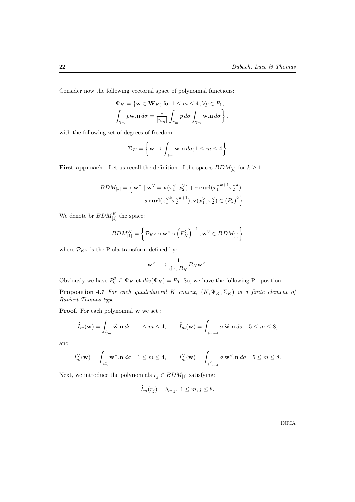Consider now the following vectorial space of polynomial functions:

$$
\Psi_K = \{ \mathbf{w} \in \mathbf{W}_K; \text{ for } 1 \le m \le 4, \forall p \in P_1, \int_{\gamma_m} p \mathbf{w} . \mathbf{n} d\sigma = \frac{1}{|\gamma_m|} \int_{\gamma_m} p d\sigma \int_{\gamma_m} \mathbf{w} . \mathbf{n} d\sigma \right\}.
$$

with the following set of degrees of freedom:

$$
\Sigma_K = \left\{ \mathbf{w} \to \int_{\gamma_m} \mathbf{w.n} \, d\sigma; 1 \le m \le 4 \right\}
$$

**First approach** Let us recall the definition of the spaces  $BDM_{[k]}$  for  $k \ge 1$ 

$$
BDM_{[k]} = \left\{ \mathbf{w}^{\vee} \mid \mathbf{w}^{\vee} = \mathbf{v}(x_1^{\vee}, x_2^{\vee}) + r \operatorname{curl}(x_1^{\vee k+1} x_2^{\vee k}) + s \operatorname{curl}(x_1^{\vee k} x_2^{\vee k+1}), \mathbf{v}(x_1^{\vee}, x_2^{\vee}) \in (P_k)^2 \right\}
$$

We denote br  $BDM_{[1]}^K$  the space:

$$
BDM^K_{[1]} = \left\{ \mathcal{P}_{K^\vee} \circ \mathbf{w}^\vee \circ \left( F_K^\sharp \right)^{-1}; \mathbf{w}^\vee \in BDM_{[1]} \right\}
$$

where  $\mathcal{P}_{K^\vee}$  is the Piola transform defined by:

$$
\mathbf{w}^\vee \longrightarrow \frac{1}{\det B_K} B_K \mathbf{w}^\vee.
$$

Obviously we have  $P_0^2 \subseteq \Psi_K$  et  $div(\Psi_K) = P_0$ . So, we have the following Proposition:

**Proposition 4.7** For each quadrilateral K convex,  $(K, \Psi_K, \Sigma_K)$  is a finite element of Raviart-Thomas type.

Proof. For each polynomial w we set :

$$
\widehat{I}_m(\mathbf{w}) = \int_{\widehat{\gamma}_m} \widehat{\mathbf{w}}.\mathbf{n} \, d\sigma \quad 1 \le m \le 4, \qquad \widehat{I}_m(\mathbf{w}) = \int_{\widehat{\gamma}_{m-4}} \sigma \, \widehat{\mathbf{w}}.\mathbf{n} \, d\sigma \quad 5 \le m \le 8,
$$

and

$$
I_m^{\vee}(\mathbf{w}) = \int_{\gamma_m^{\vee}} \mathbf{w}^{\vee} . \mathbf{n} \, d\sigma \quad 1 \le m \le 4, \qquad I_m^{\vee}(\mathbf{w}) = \int_{\gamma_{m-4}^{\vee}} \sigma \, \mathbf{w}^{\vee} . \mathbf{n} \, d\sigma \quad 5 \le m \le 8.
$$

Next, we introduce the polynomials  $r_j \in BDM_{[1]}$  satisfying:

$$
I_m(r_j) = \delta_{m,j}, \ 1 \le m, j \le 8.
$$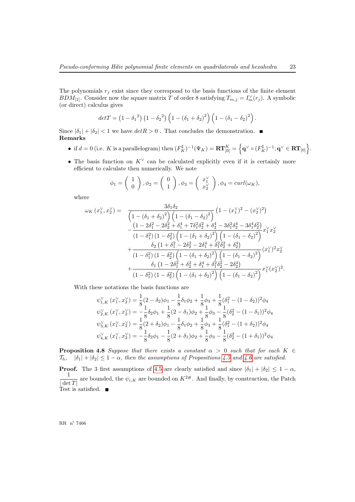The polynomials  $r_j$  exist since they correspond to the basis functions of the finite element  $BDM_{[1]}$ . Consider now the square matrix T of order 8 satisfying  $T_{m,j} = I_m^{\vee}(r_j)$ . A symbolic (or direct) calculus gives

$$
det T = (1 - {\delta_1}^2) (1 - {\delta_2}^2) (1 - (\delta_1 + \delta_2)^2) (1 - (\delta_1 - \delta_2)^2).
$$

Since  $|\delta_1| + |\delta_2| < 1$  we have  $det R > 0$ . That concludes the demonstration. Remarks

- if  $d = 0$  (i.e. K is a parallelogram) then  $(F_K^{\sharp})^{-1}(\Psi_K) = \mathbf{RT}_{[0]}^K = \left\{ \mathbf{q}^{\vee} \circ (F_K^{\sharp})^{-1}; \mathbf{q}^{\vee} \in \mathbf{RT}_{[0]}\right\}$ .
- The basis function on  $K^{\vee}$  can be calculated explicitly even if it is certainly more efficient to calculate then numerically. We note

$$
\phi_1 = \begin{pmatrix} 1 \\ 0 \end{pmatrix}, \phi_2 = \begin{pmatrix} 0 \\ 1 \end{pmatrix}, \phi_3 = \begin{pmatrix} x_1^{\vee} \\ x_2^{\vee} \end{pmatrix}, \phi_4 = curl(\omega_K),
$$

where

$$
\omega_{K}\left(x_{1}^{\vee},x_{2}^{\vee}\right) = \frac{3\delta_{1}\delta_{2}}{\left(1-\left(\delta_{1}+\delta_{2}\right)^{2}\right)\left(1-\left(\delta_{1}-\delta_{2}\right)^{2}\right)}\left(1-\left(x_{1}^{\vee}\right)^{2}-\left(x_{2}^{\vee}\right)^{2}\right)} - \frac{\left(1-2\delta_{1}^{2}-2\delta_{2}^{2}+\delta_{1}^{4}+7\delta_{1}^{2}\delta_{2}^{2}+\delta_{2}^{4}-3\delta_{1}^{2}\delta_{2}^{4}-3\delta_{1}^{4}\delta_{2}^{2}\right)}{\left(1-\delta_{1}^{2}\right)\left(1-\delta_{2}^{2}\right)\left(1-\left(\delta_{1}+\delta_{2}\right)^{2}\right)\left(1-\left(\delta_{1}-\delta_{2}\right)^{2}\right)}x_{1}^{\vee}x_{2}^{\vee} + \frac{\delta_{2}\left(1+\delta_{1}^{2}-2\delta_{2}^{2}-2\delta_{1}^{4}+\delta_{1}^{2}\delta_{2}^{2}+\delta_{2}^{4}\right)}{\left(1-\delta_{1}^{2}\right)\left(1-\delta_{2}^{2}\right)\left(1-\left(\delta_{1}+\delta_{2}\right)^{2}\right)\left(1-\left(\delta_{1}-\delta_{2}\right)^{2}\right)}\left(x_{1}^{\vee}\right)^{2}x_{2}^{\vee} + \frac{\delta_{1}\left(1-2\delta_{1}^{2}+\delta_{2}^{2}+\delta_{1}^{4}+\delta_{1}^{2}\delta_{2}^{2}-2\delta_{2}^{4}\right)}{\left(1-\delta_{1}^{2}\right)\left(1-\left(\delta_{1}+\delta_{2}\right)^{2}\right)\left(1-\left(\delta_{1}-\delta_{2}\right)^{2}\right)}x_{1}^{\vee}(x_{2}^{\vee})^{2}.
$$

With these notations the basis functions are

$$
\psi_{1,K}^{\vee}(x_1^{\vee}, x_2^{\vee}) = \frac{1}{8}(2 - \delta_2)\phi_1 - \frac{1}{8}\delta_1\phi_2 + \frac{1}{8}\phi_3 + \frac{1}{8}(\delta_1^2 - (1 - \delta_2))^2\phi_4
$$
  

$$
\psi_{2,K}^{\vee}(x_1^{\vee}, x_2^{\vee}) = -\frac{1}{8}\delta_2\phi_1 + \frac{1}{8}(2 - \delta_1)\phi_2 + \frac{1}{8}\phi_3 - \frac{1}{8}(\delta_2^2 - (1 - \delta_1))^2\phi_4
$$
  

$$
\psi_{3,K}^{\vee}(x_1^{\vee}, x_2^{\vee}) = \frac{1}{8}(2 + \delta_2)\phi_1 - \frac{1}{8}\delta_1\phi_2 + \frac{1}{8}\phi_3 + \frac{1}{8}(\delta_1^2 - (1 + \delta_2))^2\phi_4
$$
  

$$
\psi_{4,K}^{\vee}(x_1^{\vee}, x_2^{\vee}) = -\frac{1}{8}\delta_2\phi_1 - \frac{1}{8}(2 + \delta_1)\phi_2 + \frac{1}{8}\phi_3 - \frac{1}{8}(\delta_2^2 - (1 + \delta_1))^2\phi_4
$$

**Proposition 4.8** Suppose that there exists a constant  $\alpha > 0$  such that for each  $K \in$  $\mathcal{T}_h$ ,  $|\delta_1| + |\delta_2| \leq 1 - \alpha$ , then the assumptions of Propositions [4.5](#page-21-0) and [4.6](#page-21-1) are satisfied.

**Proof.** The 3 first assumptions of [4.5](#page-21-0) are clearly satisfied and since  $|\delta_1| + |\delta_2| \leq 1 - \alpha$ , 1  $|\det T|$ are bounded, the  $\psi_{i,K}$  are bounded on  $K^{2\#}$ . And finally, by construction, the Patch Test is satisfied. ■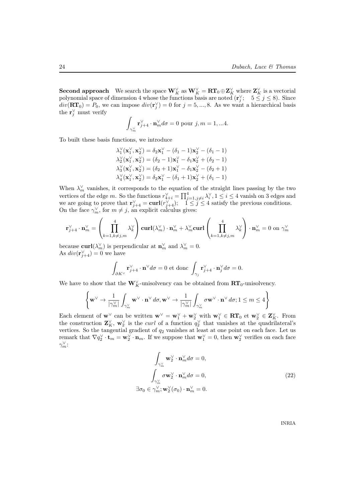**Second approach** We search the space  $\mathbf{W}_K^{\vee}$  as  $\mathbf{W}_K^{\vee} = \mathbf{RT}_0 \oplus \mathbf{Z}_K^{\vee}$  where  $\mathbf{Z}_K^{\vee}$  is a vectorial polynomial space of dimension 4 whose the functions basis are noted  $(\mathbf{r}_j^{\vee}; \quad 5 \leq j \leq 8)$ . Since  $div(\mathbf{RT}_0) = P_0$ , we can impose  $div(\mathbf{r}_j^{\vee}) = 0$  for  $j = 5, ..., 8$ . As we want a hierarchical basis the  $\mathbf{r}_j^{\vee}$  must verify

$$
\int_{\gamma_m^{\vee}} \mathbf{r}_{j+4}^{\vee} \cdot \mathbf{n}_m^{\vee} d\sigma = 0
$$
 pour  $j, m = 1, ... 4$ .

To built these basis functions, we introduce

$$
\begin{array}{c} \lambda_1^\vee(\mathbf{x}^\vee_1,\mathbf{x}^\vee_2)=\delta_2\mathbf{x}^\vee_1-(\delta_1-1)\mathbf{x}^\vee_2-(\delta_1-1) \\ \lambda_2^\vee(\mathbf{x}^\vee_1,\mathbf{x}^\vee_2)=(\delta_2-1)\mathbf{x}^\vee_1-\delta_1\mathbf{x}^\vee_2+(\delta_2-1) \\ \lambda_3^\vee(\mathbf{x}^\vee_1,\mathbf{x}^\vee_2)=(\delta_2+1)\mathbf{x}^\vee_1-\delta_1\mathbf{x}^\vee_2-(\delta_2+1) \\ \lambda_4^\vee(\mathbf{x}^\vee_1,\mathbf{x}^\vee_2)=\delta_2\mathbf{x}^\vee_1-(\delta_1+1)\mathbf{x}^\vee_2+(\delta_1-1) \end{array}
$$

When  $\lambda_m^{\vee}$  vanishes, it corresponds to the equation of the straight lines passing by the two vertices of the edge m. So the functions  $r_{\frac{1}{4}+i}^{\vee} = \prod_{j=1,j\neq i}^{4} \lambda_i^{\vee}$ ,  $1 \leq i \leq 4$  vanish on 3 edges and we are going to prove that  $\mathbf{r}_{j+4}^{\vee} = \mathbf{curl}(r_{j+4}^{\vee}); \quad 1 \leq j \leq 4$  satisfy the previous conditions. On the face  $\gamma_m^{\vee}$ , for  $m \neq j$ , an explicit calculus gives:

$$
\mathbf{r}_{j+4}^{\vee} \cdot \mathbf{n}_m^{\vee} = \left(\prod_{k=1, k\neq j, m}^{4} \lambda_k^{\vee}\right)\mathbf{curl}(\lambda_m^{\vee}) \cdot \mathbf{n}_m^{\vee} + \lambda_m^{\vee} \mathbf{curl}\left(\prod_{k=1, k\neq j, m}^{4} \lambda_k^{\vee}\right) \cdot \mathbf{n}_m^{\vee} = 0 \text{ on } \gamma_m^{\vee}
$$

because **curl** $(\lambda_m^{\vee})$  is perpendicular at  $\mathbf{n}_m^{\vee}$  and  $\lambda_m^{\vee} = 0$ . As  $div(\mathbf{r}_{j+4}^{\vee})=0$  we have

$$
\int_{\partial K^{\vee}} \mathbf{r}_{j+4}^{\vee} \cdot \mathbf{n}^{\vee} d\sigma = 0 \text{ et donc } \int_{\gamma_j} \mathbf{r}_{j+4}^{\vee} \cdot \mathbf{n}_j^{\vee} d\sigma = 0.
$$

We have to show that the  $\mathbf{W}_K^{\vee}$ -unisolvency can be obtained from  $\mathbf{RT}_0$ -unisolvency.

$$
\left\{ \mathbf{w}^{\vee} \rightarrow \frac{1}{|\gamma_m^{\vee}|} \int_{\gamma_m^{\vee}} \mathbf{w}^{\vee} \cdot \mathbf{n}^{\vee} d\sigma, \mathbf{w}^{\vee} \rightarrow \frac{1}{|\gamma_m^{\vee}|} \int_{\gamma_m^{\vee}} \sigma \mathbf{w}^{\vee} \cdot \mathbf{n}^{\vee} d\sigma ; 1 \leq m \leq 4 \right\}
$$

Each element of  $\mathbf{w}^{\vee}$  can be written  $\mathbf{w}^{\vee} = \mathbf{w}_1^{\vee} + \mathbf{w}_2^{\vee}$  with  $\mathbf{w}_1^{\vee} \in \mathbf{RT}_0$  et  $\mathbf{w}_2^{\vee} \in \mathbf{Z}_K^{\vee}$ . From the construction  $\mathbf{Z}_K^{\vee}$ ,  $\mathbf{w}_2^{\vee}$  is the *curl* of a function  $q_2^{\vee}$  that vanishes at the quadrilateral's vertices. So the tangential gradient of  $q_2$  vanishes at least at one point on each face. Let us remark that  $\nabla q_2^{\vee} \cdot \mathbf{t}_m = \mathbf{w}_2^{\vee} \cdot \mathbf{n}_m$ . If we suppose that  $\mathbf{w}_1^{\vee} = 0$ , then  $\mathbf{w}_2^{\vee}$  verifies on each face  $\gamma_m^{\vee}$ :

<span id="page-25-0"></span>
$$
\int_{\gamma_m^{\vee}} \mathbf{w}_2^{\vee} \cdot \mathbf{n}_m^{\vee} d\sigma = 0,
$$
\n
$$
\int_{\gamma_m^{\vee}} \sigma \mathbf{w}_2^{\vee} \cdot \mathbf{n}_m^{\vee} d\sigma = 0,
$$
\n
$$
\exists \sigma_0 \in \gamma_m^{\vee}; \mathbf{w}_2^{\vee}(\sigma_0) \cdot \mathbf{n}_m^{\vee} = 0.
$$
\n(22)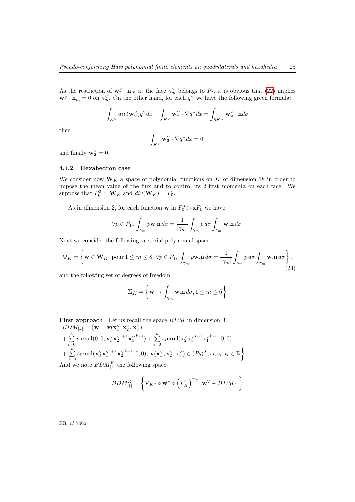As the restriction of  $\mathbf{w}_2^{\vee} \cdot \mathbf{n}_m$  at the face  $\gamma_m^{\vee}$  belongs to  $P_2$ , it is obvious that [\(22\)](#page-25-0) implies  $\mathbf{w}_2^{\vee} \cdot \mathbf{n}_m = 0$  on  $\gamma_m^{\vee}$ . On the other hand, for each  $q^{\vee}$  we have the following green formula:

$$
\int_{K^\vee} div(\mathbf{w}_\mathbf{2}^\vee) q^\vee dx - \int_{K^\vee} \mathbf{w}_\mathbf{2}^\vee \cdot \nabla q^\vee dx = \int_{\partial K^\vee} \mathbf{w}_\mathbf{2}^\vee \cdot \mathbf{n} d\sigma
$$

then

$$
\int_{K^{\vee}} \mathbf{w}_\mathbf{2}^{\vee} \cdot \nabla q^{\vee} dx = 0.
$$

and finally  $\mathbf{w}_2^{\vee} = 0$ .

#### 4.4.2 Hexahedron case

We consider now  $W_K$  a space of polynomial functions on K of dimension 18 in order to impose the mean value of the flux and to control its 2 first momenta on each face. We suppose that  $P_0^3 \subset \mathbf{W}_K$  and  $div(\mathbf{W}_K) = P_0$ .

As in dimension 2, for each function **w** in  $P_0^3 \oplus xP_0$  we have

$$
\forall p \in P_1, \ \int_{\gamma_m} p \mathbf{w}.\mathbf{n} \, d\sigma = \frac{1}{|\gamma_m|} \int_{\gamma_m} p \, d\sigma \int_{\gamma_m} \mathbf{w}.\mathbf{n} \, d\sigma.
$$

Next we consider the following vectorial polynomial space:

$$
\Psi_K = \left\{ \mathbf{w} \in \mathbf{W}_K; \text{ pour } 1 \le m \le 8, \forall p \in P_1, \int_{\gamma_m} p \mathbf{w}.\mathbf{n} \, d\sigma = \frac{1}{|\gamma_m|} \int_{\gamma_m} p \, d\sigma \int_{\gamma_m} \mathbf{w}.\mathbf{n} \, d\sigma \right\}.
$$
\n(23)

and the following set of degrees of freedom:

<span id="page-26-0"></span>
$$
\Sigma_K = \left\{ \mathbf{w} \to \int_{\gamma_m} \mathbf{w} . \mathbf{n} \, d\sigma ; 1 \le m \le 6 \right\}
$$

First approach Let us recall the space  $BDM$  in dimension 3:  $BDM_{[k]} = \{ \mathbf{w} = \mathbf{v}(\mathbf{x}^{\vee}_1, \mathbf{x}^{\vee}_2, \mathbf{x}^{\vee}_3)$ 

+ 
$$
\sum_{i=0}^{k} r_i \mathbf{curl}(0, 0, \mathbf{x}_1^{\vee} \mathbf{x}_2^{\vee i+1} \mathbf{x}_3^{\vee k-i}) + \sum_{i=0}^{k} s_i \mathbf{curl}(\mathbf{x}_2^{\vee} \mathbf{x}_3^{\vee i+1} \mathbf{x}_1^{\vee k-i}, 0, 0) + \sum_{i=0}^{k} t_i \mathbf{curl}(\mathbf{x}_3^{\vee} \mathbf{x}_1^{\vee i+1} \mathbf{x}_2^{\vee k-i}, 0, 0), \mathbf{v}(\mathbf{x}_1^{\vee}, \mathbf{x}_2^{\vee}, \mathbf{x}_3^{\vee}) \in (P_k)^3, r_i, s_i, t_i \in \mathbb{R} \}
$$
And we note  $BDM^K$  the following space:

And we note  $BDM_{[1]}^K$  the following space:

$$
BDM^K_{[1]} = \left\{ \mathcal{P}_{K^\vee} \circ \mathbf{w}^\vee \circ \left( F_K^\sharp \right)^{-1}; \mathbf{w}^\vee \in BDM_{[1]} \right\}
$$

RR n° 7466

.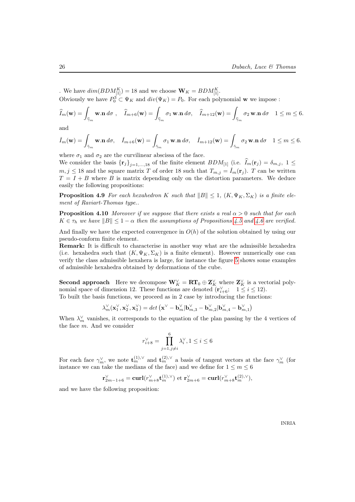. We have  $dim(BDM_{[1]}^K) = 18$  and we choose  $\mathbf{W}_K = BDM_{[1]}^K$ .

Obviously we have  $P_0^3 \subset \Psi_K$  and  $div(\Psi_K) = P_0$ . For each polynomial **w** we impose :

$$
\widehat{I}_m(\mathbf{w}) = \int_{\widehat{\gamma}_m} \mathbf{w} \cdot \mathbf{n} \, d\sigma \, , \quad \widehat{I}_{m+6}(\mathbf{w}) = \int_{\widehat{\gamma}_m} \sigma_1 \mathbf{w} \cdot \mathbf{n} \, d\sigma, \quad \widehat{I}_{m+12}(\mathbf{w}) = \int_{\widehat{\gamma}_m} \sigma_2 \mathbf{w} \cdot \mathbf{n} \, d\sigma \, 1 \le m \le 6.
$$

and

$$
\check{I}_m(\mathbf{w}) = \int_{\check{\gamma}_m} \mathbf{w} \cdot \mathbf{n} \, d\sigma, \quad \check{I}_{m+6}(\mathbf{w}) = \int_{\check{\gamma}_m} \sigma_1 \mathbf{w} \cdot \mathbf{n} \, d\sigma, \quad \check{I}_{m+12}(\mathbf{w}) = \int_{\check{\gamma}_m} \sigma_2 \mathbf{w} \cdot \mathbf{n} \, d\sigma \quad 1 \le m \le 6.
$$

where  $\sigma_1$  and  $\sigma_2$  are the curvilinear abscissa of the face.

We consider the basis  ${\{\mathbf{r}_j\}}_{j=1,\ldots,18}$  of the finite element  $BDM_{[1]}$  (i.e.  $\widehat{I}_m(\mathbf{r}_j) = \delta_{m,j}$ ,  $1 \leq$  $m, j \leq 18$  and the square matrix T of order 18 such that  $T_{m,j} = \check{I}_m(\mathbf{r}_j)$ . T can be written  $T = I + B$  where B is matrix depending only on the distortion parameters. We deduce easily the following propositions:

<span id="page-27-0"></span>**Proposition 4.9** For each hexahedron K such that  $||B|| \le 1$ ,  $(K, \Psi_K, \Sigma_K)$  is a finite element of Raviart-Thomas type..

<span id="page-27-1"></span>**Proposition 4.10** Moreover if we suppose that there exists a real  $\alpha > 0$  such that for each  $K \in \tau_h$  we have  $||B|| \leq 1 - \alpha$  then the assumptions of Propositions [4.5](#page-21-0) and [4.6](#page-21-1) are verified.

And finally we have the expected convergence in  $O(h)$  of the solution obtained by using our pseudo-conform finite element.

Remark: It is difficult to characterise in another way what are the admissible hexahedra (i.e. hexahedra such that  $(K, \Psi_K, \Sigma_K)$  is a finite element). However numerically one can verify the class admissible hexahera is large, for instance the figure [5](#page-28-0) shows some examples of admissible hexahedra obtained by deformations of the cube.

Second approach Here we decompose  $\mathbf{W}_K^{\vee} = \mathbf{RT}_0 \oplus \mathbf{Z}_K^{\vee}$  where  $\mathbf{Z}_K^{\vee}$  is a vectorial polynomial space of dimension 12. These functions are denoted  $(\mathbf{r}_{i+6}^{\vee}; 1 \le i \le 12)$ . To built the basis functions, we proceed as in 2 case by introducing the functions:

$$
\lambda_{m}^{\vee}(\mathbf{x}_{1}^{\vee},\mathbf{x}_{2}^{\vee},\mathbf{x}_{3}^{\vee})=det\left(\mathbf{x}^{\vee}-\mathbf{b}_{m}^{\vee}|\mathbf{b}_{m,3}^{\vee}-\mathbf{b}_{m,2}^{\vee}|\mathbf{b}_{m,4}^{\vee}-\mathbf{b}_{m,1}^{\vee}\right)
$$

When  $\lambda_m^{\vee}$  vanishes, it corresponds to the equation of the plan passing by the 4 vertices of the face m. And we consider

$$
r_{i+8}^{\vee} = \prod_{j=1, j\neq i}^{6} \lambda_i^{\vee}, 1 \le i \le 6
$$

For each face  $\gamma_m^{\vee}$ , we note  $\mathbf{t}_m^{(1),\vee}$  and  $\mathbf{t}_m^{(2),\vee}$  a basis of tangent vectors at the face  $\gamma_m^{\vee}$  (for instance we can take the medians of the face) and we define for  $1 \leq m \leq 6$ 

$$
\mathbf{r}_{2m-1+6}^{\vee} = \mathbf{curl}(r_{m+8}^{\vee}\mathbf{t}_{m}^{(1),\vee}) \text{ et } \mathbf{r}_{2m+6}^{\vee} = \mathbf{curl}(r_{m+8}^{\vee}\mathbf{t}_{m}^{(2),\vee}),
$$

and we have the following proposition: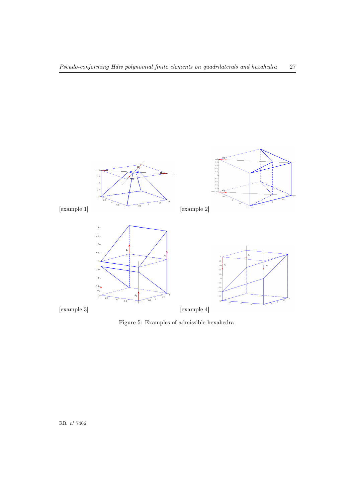

<span id="page-28-0"></span>Figure 5: Examples of admissible hexahedra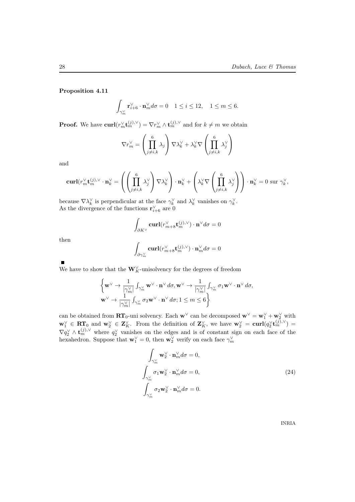Proposition 4.11

$$
\int_{\gamma_m^{\vee}} \mathbf{r}_{i+6}^{\vee} \cdot \mathbf{n}_m^{\vee} d\sigma = 0 \quad 1 \le i \le 12, \quad 1 \le m \le 6.
$$

**Proof.** We have  $\text{curl}(r_m^{\vee} \mathbf{t}_m^{(j),\vee}) = \nabla r_m^{\vee} \wedge \mathbf{t}_m^{(j),\vee}$  and for  $k \neq m$  we obtain

$$
\nabla r_m^{\vee} = \left(\prod_{j \neq i,k}^{6} \lambda_j\right) \nabla \lambda_k^{\vee} + \lambda_k^{\vee} \nabla \left(\prod_{j \neq i,k}^{6} \lambda_j^{\vee}\right)
$$

and

$$
\operatorname{curl}(r_m^{\vee} \mathbf{t}_m^{(j),\vee} \cdot \mathbf{n}_k^{\vee} = \left( \left( \prod_{j \neq i,k}^6 \lambda_j^{\vee} \right) \nabla \lambda_k^{\vee} \right) \cdot \mathbf{n}_k^{\vee} + \left( \lambda_k^{\vee} \nabla \left( \prod_{j \neq i,k}^6 \lambda_j^{\vee} \right) \right) \cdot \mathbf{n}_k^{\vee} = 0 \text{ sur } \gamma_k^{\vee},
$$

because  $\nabla \lambda_k^{\vee}$  is perpendicular at the face  $\gamma_k^{\vee}$  and  $\lambda_k^{\vee}$  vanishes on  $\gamma_k^{\vee}$ . As the divergence of the functions  $\mathbf{r}_{i+6}^{\vee}$  are 0

$$
\int_{\partial K^{\vee}} \mathbf{curl}(r_{m+8}^{\vee} \mathbf{t}_{m}^{(j),\vee}) \cdot \mathbf{n}^{\vee} d\sigma = 0
$$

then

$$
\int_{\partial \gamma_m^\vee} \mathbf{curl}(r_{m+8}^\vee \mathbf{t}_m^{(j),\vee}) \cdot \mathbf{n}_m^\vee d\sigma = 0
$$

We have to show that the  $\mathbf{W}^\vee_K\text{-unisolvency}$  for the degrees of freedom

$$
\begin{array}{l} \left\{ {\bf w}^{\vee} \rightarrow \displaystyle \frac{1}{\left| \gamma_m^{\vee} \right|} \int_{\gamma_m^{\vee}} {\bf w}^{\vee} \cdot {\bf n}^{\vee} \, d\sigma, {\bf w}^{\vee} \rightarrow \displaystyle \frac{1}{\left| \gamma_m^{\vee} \right|} \int_{\gamma_m^{\vee}} \sigma_1 {\bf w}^{\vee} \cdot {\bf n}^{\vee} \, d\sigma, \\ {\bf w}^{\vee} \rightarrow \displaystyle \frac{1}{\left| \gamma_m^{\vee} \right|} \int_{\gamma_m^{\vee}} \sigma_2 {\bf w}^{\vee} \cdot {\bf n}^{\vee} \, d\sigma ; 1 \leq m \leq 6 \end{array} \right\}
$$

can be obtained from  $\mathbf{RT}_0$ -uni solvency. Each w<sup>∨</sup> can be decomposed  $\mathbf{w}^{\vee} = \mathbf{w}_1^{\vee} + \mathbf{w}_2^{\vee}$  with  $\mathbf{w}_1^{\vee} \in \mathbf{RT}_0$  and  $\mathbf{w}_2^{\vee} \in \mathbf{Z}_K^{\vee}$ . From the definition of  $\mathbf{Z}_K^{\vee}$ , we have  $\mathbf{w}_2^{\vee} = \mathbf{curl}(q_2^{\vee} \mathbf{t}_m^{(j),\vee}) =$  $\nabla q_2^{\vee} \wedge \mathbf{t}_m^{(j),\vee}$  where  $q_2^{\vee}$  vanishes on the edges and is of constant sign on each face of the hexahedron. Suppose that  $\mathbf{w}_1^{\vee} = 0$ , then  $\mathbf{w}_2^{\vee}$  verify on each face  $\gamma_m^{\vee}$ 

$$
\int_{\gamma_m^{\vee}} \mathbf{w}_2^{\vee} \cdot \mathbf{n}_m^{\vee} d\sigma = 0,
$$
\n
$$
\int_{\gamma_m^{\vee}} \sigma_1 \mathbf{w}_2^{\vee} \cdot \mathbf{n}_m^{\vee} d\sigma = 0,
$$
\n
$$
\int_{\gamma_m^{\vee}} \sigma_2 \mathbf{w}_2^{\vee} \cdot \mathbf{n}_m^{\vee} d\sigma = 0.
$$
\n(24)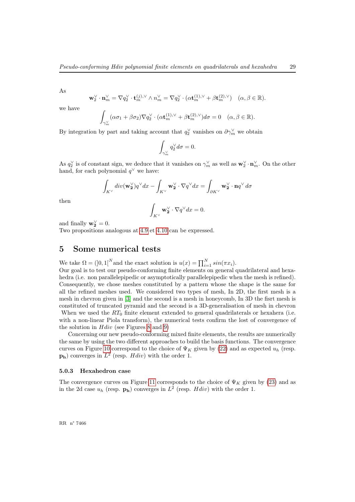As

$$
\mathbf{w}_2^{\vee} \cdot \mathbf{n}_m^{\vee} = \nabla q_2^{\vee} \cdot \mathbf{t}_m^{(j), \vee} \wedge n_m^{\vee} = \nabla q_2^{\vee} \cdot (\alpha \mathbf{t}_m^{(1), \vee} + \beta \mathbf{t}_m^{(2), \vee}) \quad (\alpha, \beta \in \mathbb{R}).
$$

we have

$$
\int_{\gamma_m^{\vee}} (\alpha \sigma_1 + \beta \sigma_2) \nabla q_2^{\vee} \cdot (\alpha \mathbf{t}_m^{(1), \vee} + \beta \mathbf{t}_m^{(2), \vee}) d\sigma = 0 \quad (\alpha, \beta \in \mathbb{R}).
$$

By integration by part and taking account that  $q_2^{\vee}$  vanishes on  $\partial \gamma_m^{\vee}$  we obtain

$$
\int_{\gamma_m^{\vee}} q_2^{\vee} d\sigma = 0.
$$

As  $q_2^{\vee}$  is of constant sign, we deduce that it vanishes on  $\gamma_m^{\vee}$  as well as  $\mathbf{w}_2^{\vee} \cdot \mathbf{n}_m^{\vee}$ . On the other hand, for each polynomial  $q^{\vee}$  we have:

$$
\int_{K^{\vee}} \operatorname{div}(\mathbf{w}_{2}^{\vee}) q^{\vee} dx - \int_{K^{\vee}} \mathbf{w}_{2}^{\vee} \cdot \nabla q^{\vee} dx = \int_{\partial K^{\vee}} \mathbf{w}_{2}^{\vee} \cdot \mathbf{n} q^{\vee} d\sigma
$$

then

$$
\int_{K^{\vee}} \mathbf{w}_2^{\vee} \cdot \nabla q^{\vee} dx = 0.
$$

and finally  $\mathbf{w}_2^{\vee} = 0$ .

Two propositions analogous at [4.9](#page-27-0) et [4.10](#page-27-1) can be expressed.

### 5 Some numerical tests

We take  $\Omega = (0, 1]^N$  and the exact solution is  $u(x) = \prod_{i=1}^N \sin(\pi x_i)$ .

Our goal is to test our pseudo-conforming finite elements on general quadrilateral and hexahedra (i.e. non parallelepipedic or asymptotically parallelepipedic when the mesh is refined). Consequently, we chose meshes constituted by a pattern whose the shape is the same for all the refined meshes used. We considered two types of mesh, In 2D, the first mesh is a mesh in chevron given in [\[3\]](#page-32-1) and the second is a mesh in honeycomb, In 3D the fisrt mesh is constituted of truncated pyramid and the second is a 3D-generalisation of mesh in chevron When we used the  $RT_0$  finite element extended to general quadrilaterals or hexahera (i.e.

with a non-linear Piola transform), the numerical tests confirm the lost of convergence of the solution in  $Hdiv$  (see Figures [8](#page-32-3) and [9\)](#page-33-1)

Concerning our new pseudo-conforming mixed finite elements, the results are numerically the same by using the two different approaches to build the basis functions. The convergence curves on Figure [10](#page-34-1) correspond to the choice of  $\Psi_K$  given by [\(22\)](#page-0-0) and as expected  $u_h$  (resp.  $\mathbf{p_h}$ ) converges in  $L^2$  (resp.  $Hdiv$ ) with the order 1.

#### 5.0.3 Hexahedron case

The convergence curves on Figure [11](#page-34-2) corresponds to the choice of  $\Psi_K$  given by [\(23\)](#page-26-0) and as in the 2d case  $u_h$  (resp.  $\mathbf{p_h}$ ) converges in  $L^2$  (resp.  $Hdiv$ ) with the order 1.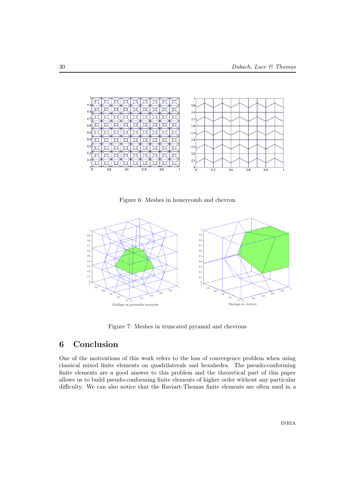

Figure 6: Meshes in honeycomb and chevron



Figure 7: Meshes in truncated pyramid and chevrons

# 6 Conclusion

One of the motivations of this work refers to the loss of convergence problem when using classical mixed finite elements on quadrilaterals and hexahedra. The pseudo-conforming finite elements are a good answer to this problem and the theoretical part of this paper allows us to build pseudo-conforming finite elements of higher order without any particular difficulty. We can also notice that the Raviart-Thomas finite elements are often used in a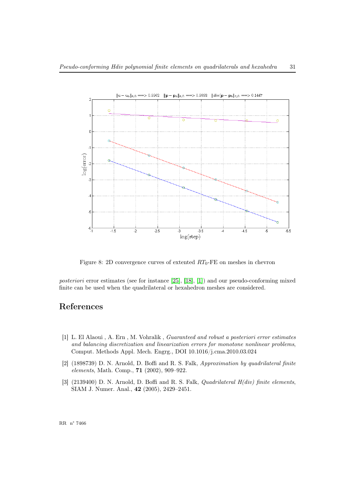

<span id="page-32-3"></span>Figure 8: 2D convergence curves of extented  $RT_0$ -FE on meshes in chevron

posteriori error estimates (see for instance [\[25\]](#page-36-8), [\[18\]](#page-35-5), [\[1\]](#page-32-4)) and our pseudo-conforming mixed finite can be used when the quadrilateral or hexahedron meshes are considered.

# <span id="page-32-0"></span>References

- <span id="page-32-4"></span>[1] L. El Alaoui , A. Ern , M. Vohralik , Guaranteed and robust a posteriori error estimates and balancing discretization and linearization errors for monotone nonlinear problems, Comput. Methods Appl. Mech. Engrg., DOI 10.1016/j.cma.2010.03.024
- <span id="page-32-2"></span>[2] (1898739) D. N. Arnold, D. Boffi and R. S. Falk, Approximation by quadrilateral finite elements, Math. Comp., 71 (2002), 909–922.
- <span id="page-32-1"></span>[3]  $(2139400)$  D. N. Arnold, D. Boffi and R. S. Falk, *Quadrilateral H(div)* finite elements, SIAM J. Numer. Anal., 42 (2005), 2429–2451.

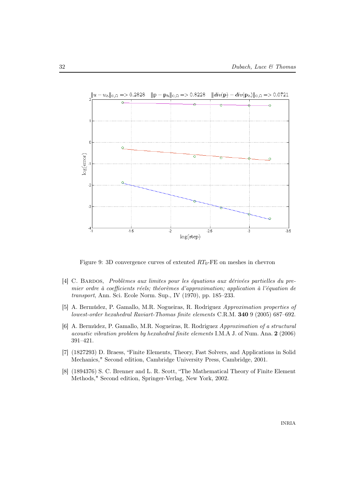

<span id="page-33-1"></span>Figure 9: 3D convergence curves of extented  $RT_0$ -FE on meshes in chevron

- [4] C. Bardos, Problèmes aux limites pour les équations aux dérivées partielles du premier ordre à coefficients réels; théorèmes d'approximation; application à l'équation de transport, Ann. Sci. Ecole Norm. Sup., IV (1970), pp. 185–233.
- [5] A. Bermúdez, P. Gamallo, M.R. Nogueiras, R. Rodriguez Approximation properties of lowest-order hexahedral Raviart-Thomas finite elements C.R.M. 340 9 (2005) 687–692.
- [6] A. Bermúdez, P. Gamallo, M.R. Nogueiras, R. Rodriguez Approximation of a structural acoustic vibration problem by hexahedral finite elements I.M.A J. of Num. Ana. 2 (2006) 391–421.
- [7] (1827293) D. Braess, "Finite Elements, Theory, Fast Solvers, and Applications in Solid Mechanics," Second edition, Cambridge University Press, Cambridge, 2001.
- <span id="page-33-0"></span>[8] (1894376) S. C. Brenner and L. R. Scott, "The Mathematical Theory of Finite Element Methods," Second edition, Springer-Verlag, New York, 2002.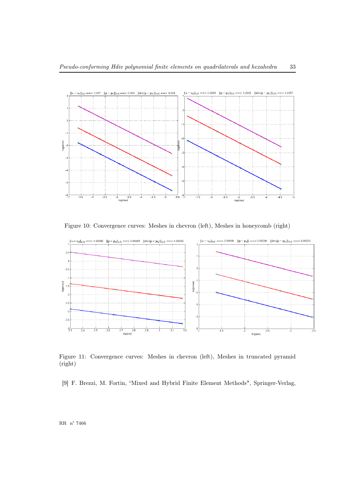

<span id="page-34-1"></span>Figure 10: Convergence curves: Meshes in chevron (left), Meshes in honeycomb (right)



<span id="page-34-2"></span>Figure 11: Convergence curves: Meshes in chevron (left), Meshes in truncated pyramid (right)

<span id="page-34-0"></span>[9] F. Brezzi, M. Fortin, "Mixed and Hybrid Finite Element Methods", Springer-Verlag,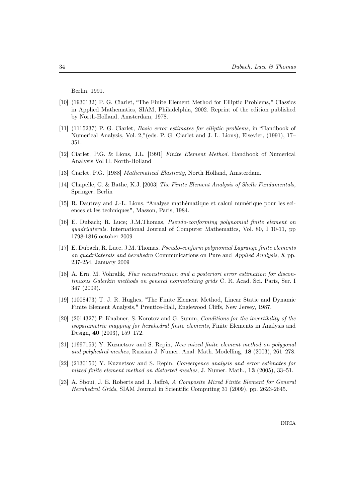Berlin, 1991.

- [10] (1930132) P. G. Ciarlet, "The Finite Element Method for Elliptic Problems," Classics in Applied Mathematics, SIAM, Philadelphia, 2002. Reprint of the edition published by North-Holland, Amsterdam, 1978.
- [11] (1115237) P. G. Ciarlet, Basic error estimates for elliptic problems, in "Handbook of Numerical Analysis, Vol. 2,"(eds. P. G. Ciarlet and J. L. Lions), Elsevier, (1991), 17– 351.
- [12] Ciarlet, P.G. & Lions, J.L. [1991] Finite Element Method. Handbook of Numerical Analysis Vol II. North-Holland
- [13] Ciarlet, P.G. [1988] Mathematical Elasticity, North Holland, Amsterdam.
- [14] Chapelle, G. & Bathe, K.J. [2003] The Finite Element Analysis of Shells Fundamentals, Springer, Berlin
- [15] R. Dautray and J.-L. Lions, "Analyse mathématique et calcul numérique pour les sciences et les techniques", Masson, Paris, 1984.
- [16] E. Dubach; R. Luce; J.M.Thomas, Pseudo-conforming polynomial finite element on quadrilaterals. International Journal of Computer Mathematics, Vol. 80, I 10-11, pp 1798-1816 october 2009
- [17] E. Dubach, R. Luce, J.M. Thomas. Pseudo-conform polynomial Lagrange finite elements on quadrilaterals and hexahedra Communications on Pure and Applied Analysis, 8, pp. 237-254. January 2009
- <span id="page-35-5"></span>[18] A. Ern, M. Vohralik, Flux reconstruction and a posteriori error estimation for discontinuous Galerkin methods on general nonmatching grids C. R. Acad. Sci. Paris, Ser. I 347 (2009).
- <span id="page-35-3"></span>[19] (1008473) T. J. R. Hughes, "The Finite Element Method, Linear Static and Dynamic Finite Element Analysis," Prentice-Hall, Englewood Cliffs, New Jersey, 1987.
- <span id="page-35-4"></span>[20] (2014327) P. Knabner, S. Korotov and G. Summ, Conditions for the invertibility of the isoparametric mapping for hexahedral finite elements, Finite Elements in Analysis and Design, 40 (2003), 159–172.
- <span id="page-35-0"></span>[21] (1997159) Y. Kuznetsov and S. Repin, New mixed finite element method on polygonal and polyhedral meshes, Russian J. Numer. Anal. Math. Modelling, 18 (2003), 261–278.
- <span id="page-35-1"></span>[22] (2130150) Y. Kuznetsov and S. Repin, Convergence analysis and error estimates for mixed finite element method on distorted meshes, J. Numer. Math., 13 (2005), 33–51.
- <span id="page-35-2"></span>[23] A. Sboui, J. E. Roberts and J. Jaffré, A Composite Mixed Finite Element for General Hexahedral Grids, SIAM Journal in Scientific Computing 31 (2009), pp. 2623-2645.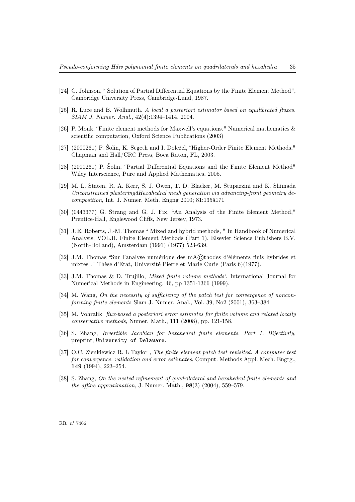- [24] C. Johnson, " Solution of Partial Differential Equations by the Finite Element Method", Cambridge University Press, Cambridge-Lund, 1987.
- <span id="page-36-8"></span>[25] R. Luce and B. Wolhmuth. A local a posteriori estimator based on equilibrated fluxes. SIAM J. Numer. Anal., 42(4):1394–1414, 2004.
- <span id="page-36-5"></span>[26] P. Monk, "Finite element methods for Maxwell's equations." Numerical mathematics & scientific computation, Oxford Science Publications (2003)
- <span id="page-36-4"></span>[27] (2000261) P. Šolin, K. Segeth and I. Doležel, "Higher-Order Finite Element Methods," Chapman and Hall/CRC Press, Boca Raton, FL, 2003.
- [28] (2000261) P. Šolin, "Partial Differential Equations and the Finite Element Method" Wiley Interscience, Pure and Applied Mathematics, 2005.
- <span id="page-36-2"></span>[29] M. L. Staten, R. A. Kerr, S. J. Owen, T. D. Blacker, M. Stupazzini and K. Shimada Unconstrained plasteringâHexahedral mesh generation via advancing-front geometry decomposition, Int. J. Numer. Meth. Engng 2010; 81:135â171
- [30] (0443377) G. Strang and G. J. Fix, "An Analysis of the Finite Element Method," Prentice-Hall, Englewood Cliffs, New Jersey, 1973.
- <span id="page-36-0"></span>[31] J. E. Roberts, J.-M. Thomas " Mixed and hybrid methods, " In Handbook of Numerical Analysis, VOL.II, Finite Element Methods (Part 1), Elsevier Science Publishers B.V. (North-Holland), Amsterdam (1991) (1977) 523-639.
- <span id="page-36-3"></span>[32] J.M. Thomas "Sur l'analyse numérique des m $\widehat{A}(\widehat{C})$ thodes d'éléments finis hybrides et mixtes ." Thèse d'Etat, Université Pierre et Marie Curie (Paris 6)(1977).
- [33] J.M. Thomas & D. Trujillo, Mixed finite volume methods', International Journal for Numerical Methods in Engineering, 46, pp 1351-1366 (1999).
- <span id="page-36-7"></span>[34] M. Wang, On the necessity of sufficiency of the patch test for convergence of nonconforming finite elements Siam J. Numer. Anal., Vol. 39, No2 (2001), 363–384
- [35] M. Vohralik flux-based a posteriori error estimates for finite volume and related locally conservative methods, Numer. Math., 111 (2008), pp. 121-158.
- <span id="page-36-1"></span>[36] S. Zhang, Invertible Jacobian for hexahedral finite elements. Part 1. Bijectivity, preprint, University of Delaware.
- <span id="page-36-6"></span>[37] O.C. Zienkiewicz R. L Taylor , The finite element patch test revisited. A computer test for convergence, validation and error estimates, Comput. Methods Appl. Mech. Engrg., 149 (1994), 223–254.
- [38] S. Zhang, On the nested refinement of quadrilateral and hexahedral finite elements and *the affine approximation*, J. Numer. Math.,  $98(3)$  (2004), 559–579.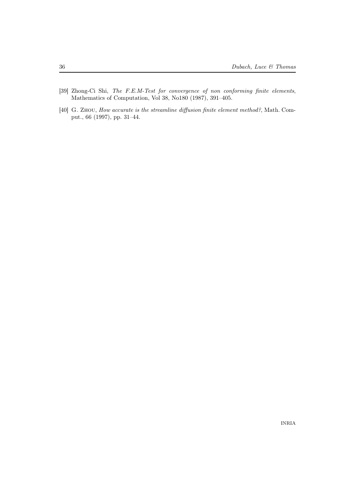- <span id="page-37-0"></span>[39] Zhong-Ci Shi, The F.E.M-Test for convergence of non conforming finite elements, Mathematics of Computation, Vol 38, No180 (1987), 391–405.
- [40] G. Zhou, How accurate is the streamline diffusion finite element method?, Math. Comput., 66 (1997), pp. 31–44.